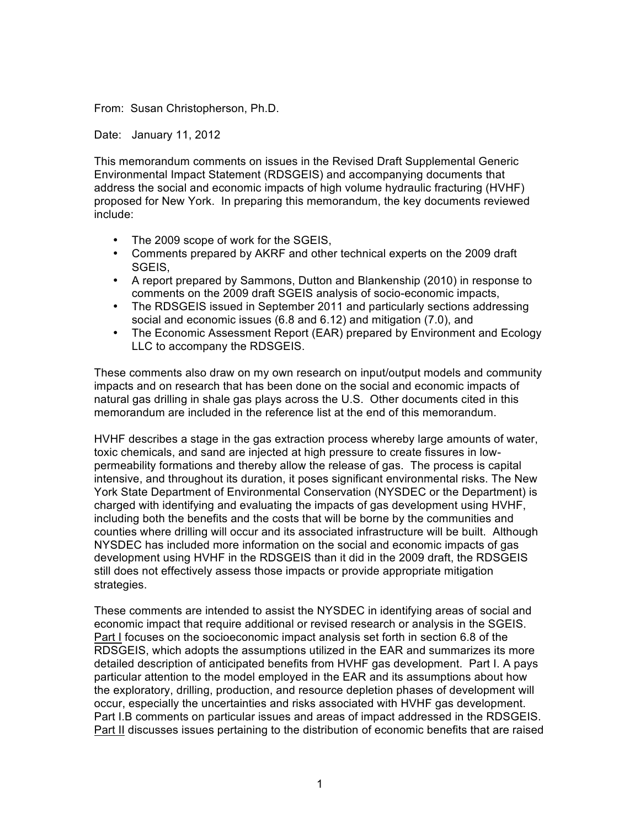From: Susan Christopherson, Ph.D.

Date: January 11, 2012

This memorandum comments on issues in the Revised Draft Supplemental Generic Environmental Impact Statement (RDSGEIS) and accompanying documents that address the social and economic impacts of high volume hydraulic fracturing (HVHF) proposed for New York. In preparing this memorandum, the key documents reviewed include:

- The 2009 scope of work for the SGEIS,
- Comments prepared by AKRF and other technical experts on the 2009 draft SGEIS,
- A report prepared by Sammons, Dutton and Blankenship (2010) in response to comments on the 2009 draft SGEIS analysis of socio-economic impacts,
- The RDSGEIS issued in September 2011 and particularly sections addressing social and economic issues (6.8 and 6.12) and mitigation (7.0), and
- The Economic Assessment Report (EAR) prepared by Environment and Ecology LLC to accompany the RDSGEIS.

These comments also draw on my own research on input/output models and community impacts and on research that has been done on the social and economic impacts of natural gas drilling in shale gas plays across the U.S. Other documents cited in this memorandum are included in the reference list at the end of this memorandum.

HVHF describes a stage in the gas extraction process whereby large amounts of water, toxic chemicals, and sand are injected at high pressure to create fissures in lowpermeability formations and thereby allow the release of gas. The process is capital intensive, and throughout its duration, it poses significant environmental risks. The New York State Department of Environmental Conservation (NYSDEC or the Department) is charged with identifying and evaluating the impacts of gas development using HVHF, including both the benefits and the costs that will be borne by the communities and counties where drilling will occur and its associated infrastructure will be built. Although NYSDEC has included more information on the social and economic impacts of gas development using HVHF in the RDSGEIS than it did in the 2009 draft, the RDSGEIS still does not effectively assess those impacts or provide appropriate mitigation strategies.

These comments are intended to assist the NYSDEC in identifying areas of social and economic impact that require additional or revised research or analysis in the SGEIS. Part I focuses on the socioeconomic impact analysis set forth in section 6.8 of the RDSGEIS, which adopts the assumptions utilized in the EAR and summarizes its more detailed description of anticipated benefits from HVHF gas development. Part I. A pays particular attention to the model employed in the EAR and its assumptions about how the exploratory, drilling, production, and resource depletion phases of development will occur, especially the uncertainties and risks associated with HVHF gas development. Part I.B comments on particular issues and areas of impact addressed in the RDSGEIS. Part II discusses issues pertaining to the distribution of economic benefits that are raised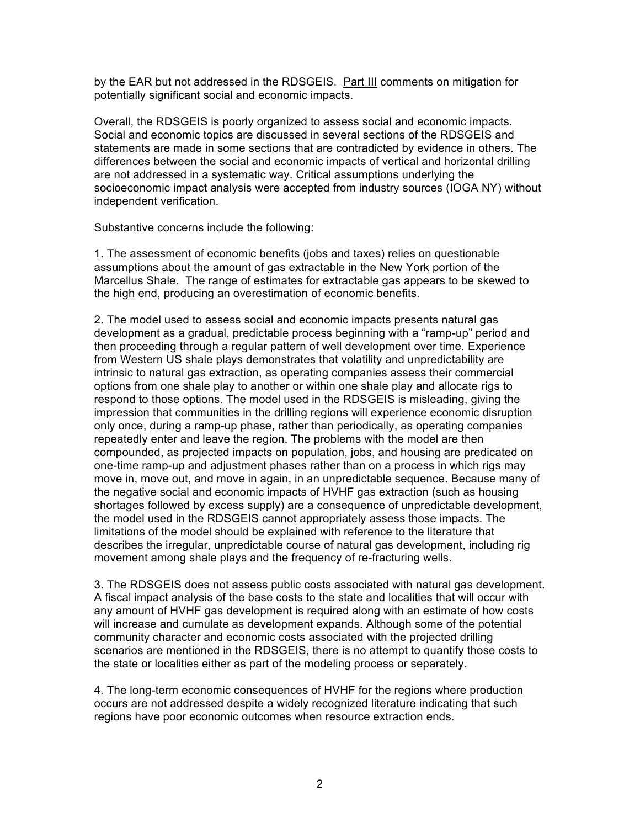by the EAR but not addressed in the RDSGEIS. Part III comments on mitigation for potentially significant social and economic impacts.

Overall, the RDSGEIS is poorly organized to assess social and economic impacts. Social and economic topics are discussed in several sections of the RDSGEIS and statements are made in some sections that are contradicted by evidence in others. The differences between the social and economic impacts of vertical and horizontal drilling are not addressed in a systematic way. Critical assumptions underlying the socioeconomic impact analysis were accepted from industry sources (IOGA NY) without independent verification.

Substantive concerns include the following:

1. The assessment of economic benefits (jobs and taxes) relies on questionable assumptions about the amount of gas extractable in the New York portion of the Marcellus Shale. The range of estimates for extractable gas appears to be skewed to the high end, producing an overestimation of economic benefits.

2. The model used to assess social and economic impacts presents natural gas development as a gradual, predictable process beginning with a "ramp-up" period and then proceeding through a regular pattern of well development over time. Experience from Western US shale plays demonstrates that volatility and unpredictability are intrinsic to natural gas extraction, as operating companies assess their commercial options from one shale play to another or within one shale play and allocate rigs to respond to those options. The model used in the RDSGEIS is misleading, giving the impression that communities in the drilling regions will experience economic disruption only once, during a ramp-up phase, rather than periodically, as operating companies repeatedly enter and leave the region. The problems with the model are then compounded, as projected impacts on population, jobs, and housing are predicated on one-time ramp-up and adjustment phases rather than on a process in which rigs may move in, move out, and move in again, in an unpredictable sequence. Because many of the negative social and economic impacts of HVHF gas extraction (such as housing shortages followed by excess supply) are a consequence of unpredictable development, the model used in the RDSGEIS cannot appropriately assess those impacts. The limitations of the model should be explained with reference to the literature that describes the irregular, unpredictable course of natural gas development, including rig movement among shale plays and the frequency of re-fracturing wells.

3. The RDSGEIS does not assess public costs associated with natural gas development. A fiscal impact analysis of the base costs to the state and localities that will occur with any amount of HVHF gas development is required along with an estimate of how costs will increase and cumulate as development expands. Although some of the potential community character and economic costs associated with the projected drilling scenarios are mentioned in the RDSGEIS, there is no attempt to quantify those costs to the state or localities either as part of the modeling process or separately.

4. The long-term economic consequences of HVHF for the regions where production occurs are not addressed despite a widely recognized literature indicating that such regions have poor economic outcomes when resource extraction ends.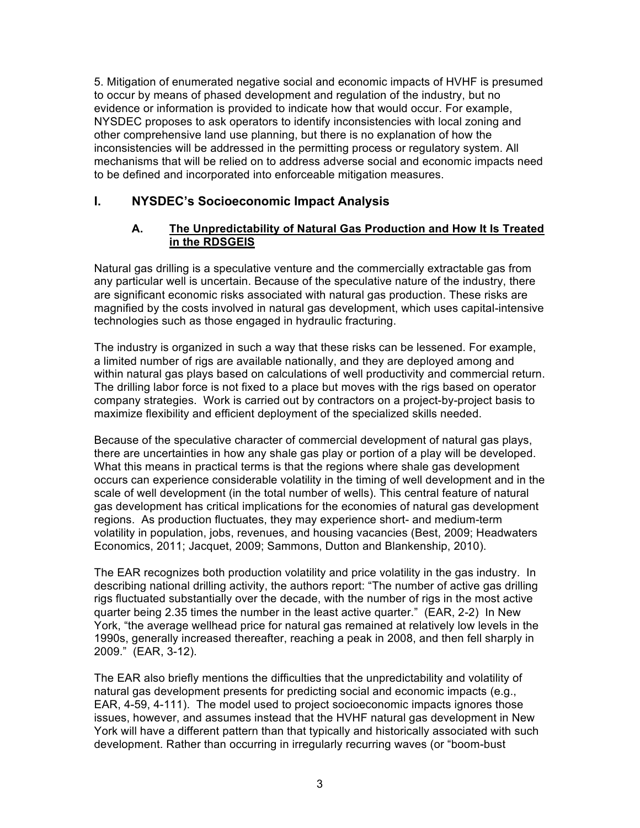5. Mitigation of enumerated negative social and economic impacts of HVHF is presumed to occur by means of phased development and regulation of the industry, but no evidence or information is provided to indicate how that would occur. For example, NYSDEC proposes to ask operators to identify inconsistencies with local zoning and other comprehensive land use planning, but there is no explanation of how the inconsistencies will be addressed in the permitting process or regulatory system. All mechanisms that will be relied on to address adverse social and economic impacts need to be defined and incorporated into enforceable mitigation measures.

# **I. NYSDEC's Socioeconomic Impact Analysis**

### **A. The Unpredictability of Natural Gas Production and How It Is Treated in the RDSGEIS**

Natural gas drilling is a speculative venture and the commercially extractable gas from any particular well is uncertain. Because of the speculative nature of the industry, there are significant economic risks associated with natural gas production. These risks are magnified by the costs involved in natural gas development, which uses capital-intensive technologies such as those engaged in hydraulic fracturing.

The industry is organized in such a way that these risks can be lessened. For example, a limited number of rigs are available nationally, and they are deployed among and within natural gas plays based on calculations of well productivity and commercial return. The drilling labor force is not fixed to a place but moves with the rigs based on operator company strategies. Work is carried out by contractors on a project-by-project basis to maximize flexibility and efficient deployment of the specialized skills needed.

Because of the speculative character of commercial development of natural gas plays, there are uncertainties in how any shale gas play or portion of a play will be developed. What this means in practical terms is that the regions where shale gas development occurs can experience considerable volatility in the timing of well development and in the scale of well development (in the total number of wells). This central feature of natural gas development has critical implications for the economies of natural gas development regions. As production fluctuates, they may experience short- and medium-term volatility in population, jobs, revenues, and housing vacancies (Best, 2009; Headwaters Economics, 2011; Jacquet, 2009; Sammons, Dutton and Blankenship, 2010).

The EAR recognizes both production volatility and price volatility in the gas industry. In describing national drilling activity, the authors report: "The number of active gas drilling rigs fluctuated substantially over the decade, with the number of rigs in the most active quarter being 2.35 times the number in the least active quarter." (EAR, 2-2) In New York, "the average wellhead price for natural gas remained at relatively low levels in the 1990s, generally increased thereafter, reaching a peak in 2008, and then fell sharply in 2009." (EAR, 3-12).

The EAR also briefly mentions the difficulties that the unpredictability and volatility of natural gas development presents for predicting social and economic impacts (e.g., EAR, 4-59, 4-111). The model used to project socioeconomic impacts ignores those issues, however, and assumes instead that the HVHF natural gas development in New York will have a different pattern than that typically and historically associated with such development. Rather than occurring in irregularly recurring waves (or "boom-bust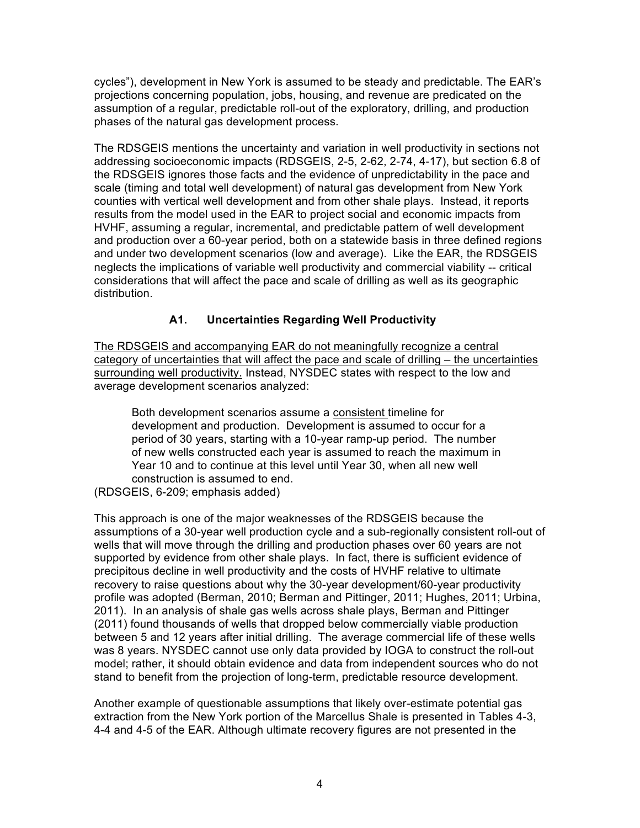cycles"), development in New York is assumed to be steady and predictable. The EAR's projections concerning population, jobs, housing, and revenue are predicated on the assumption of a regular, predictable roll-out of the exploratory, drilling, and production phases of the natural gas development process.

The RDSGEIS mentions the uncertainty and variation in well productivity in sections not addressing socioeconomic impacts (RDSGEIS, 2-5, 2-62, 2-74, 4-17), but section 6.8 of the RDSGEIS ignores those facts and the evidence of unpredictability in the pace and scale (timing and total well development) of natural gas development from New York counties with vertical well development and from other shale plays. Instead, it reports results from the model used in the EAR to project social and economic impacts from HVHF, assuming a regular, incremental, and predictable pattern of well development and production over a 60-year period, both on a statewide basis in three defined regions and under two development scenarios (low and average). Like the EAR, the RDSGEIS neglects the implications of variable well productivity and commercial viability -- critical considerations that will affect the pace and scale of drilling as well as its geographic distribution.

## **A1. Uncertainties Regarding Well Productivity**

The RDSGEIS and accompanying EAR do not meaningfully recognize a central category of uncertainties that will affect the pace and scale of drilling – the uncertainties surrounding well productivity. Instead, NYSDEC states with respect to the low and average development scenarios analyzed:

Both development scenarios assume a consistent timeline for development and production. Development is assumed to occur for a period of 30 years, starting with a 10-year ramp-up period. The number of new wells constructed each year is assumed to reach the maximum in Year 10 and to continue at this level until Year 30, when all new well construction is assumed to end.

(RDSGEIS, 6-209; emphasis added)

This approach is one of the major weaknesses of the RDSGEIS because the assumptions of a 30-year well production cycle and a sub-regionally consistent roll-out of wells that will move through the drilling and production phases over 60 years are not supported by evidence from other shale plays. In fact, there is sufficient evidence of precipitous decline in well productivity and the costs of HVHF relative to ultimate recovery to raise questions about why the 30-year development/60-year productivity profile was adopted (Berman, 2010; Berman and Pittinger, 2011; Hughes, 2011; Urbina, 2011). In an analysis of shale gas wells across shale plays, Berman and Pittinger (2011) found thousands of wells that dropped below commercially viable production between 5 and 12 years after initial drilling. The average commercial life of these wells was 8 years. NYSDEC cannot use only data provided by IOGA to construct the roll-out model; rather, it should obtain evidence and data from independent sources who do not stand to benefit from the projection of long-term, predictable resource development.

Another example of questionable assumptions that likely over-estimate potential gas extraction from the New York portion of the Marcellus Shale is presented in Tables 4-3, 4-4 and 4-5 of the EAR. Although ultimate recovery figures are not presented in the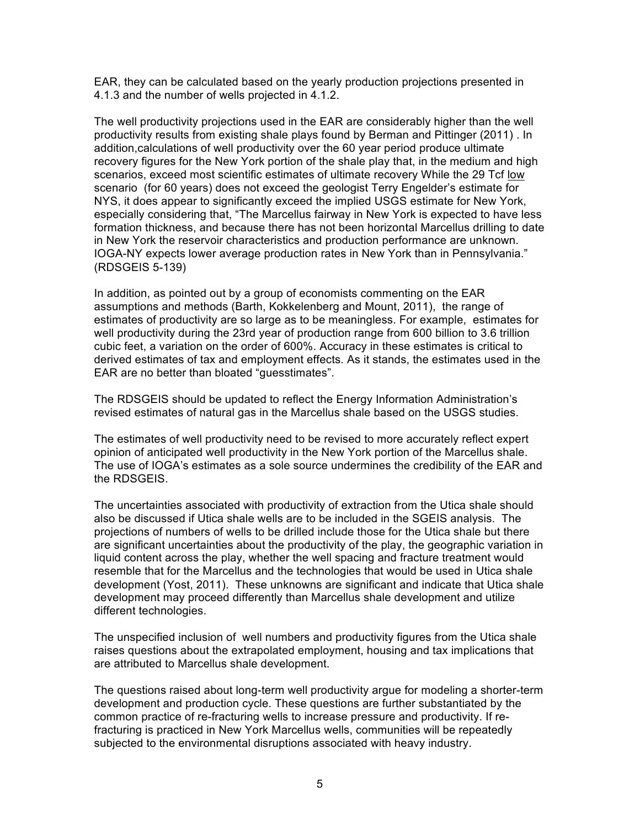EAR, they can be calculated based on the yearly production projections presented in 4.1.3 and the number of wells projected in 4.1.2.

The well productivity projections used in the EAR are considerably higher than the well productivity results from existing shale plays found by Berman and Pittinger (2011) . In addition,calculations of well productivity over the 60 year period produce ultimate recovery figures for the New York portion of the shale play that, in the medium and high scenarios, exceed most scientific estimates of ultimate recovery While the 29 Tcf low scenario (for 60 years) does not exceed the geologist Terry Engelder's estimate for NYS, it does appear to significantly exceed the implied USGS estimate for New York, especially considering that, "The Marcellus fairway in New York is expected to have less formation thickness, and because there has not been horizontal Marcellus drilling to date in New York the reservoir characteristics and production performance are unknown. IOGA-NY expects lower average production rates in New York than in Pennsylvania." (RDSGEIS 5-139)

In addition, as pointed out by a group of economists commenting on the EAR assumptions and methods (Barth, Kokkelenberg and Mount, 2011), the range of estimates of productivity are so large as to be meaningless. For example, estimates for well productivity during the 23rd year of production range from 600 billion to 3.6 trillion cubic feet, a variation on the order of 600%. Accuracy in these estimates is critical to derived estimates of tax and employment effects. As it stands, the estimates used in the EAR are no better than bloated "guesstimates".

The RDSGEIS should be updated to reflect the Energy Information Administration's revised estimates of natural gas in the Marcellus shale based on the USGS studies.

The estimates of well productivity need to be revised to more accurately reflect expert opinion of anticipated well productivity in the New York portion of the Marcellus shale. The use of IOGA's estimates as a sole source undermines the credibility of the EAR and the RDSGEIS.

The uncertainties associated with productivity of extraction from the Utica shale should also be discussed if Utica shale wells are to be included in the SGEIS analysis. The projections of numbers of wells to be drilled include those for the Utica shale but there are significant uncertainties about the productivity of the play, the geographic variation in liquid content across the play, whether the well spacing and fracture treatment would resemble that for the Marcellus and the technologies that would be used in Utica shale development (Yost, 2011). These unknowns are significant and indicate that Utica shale development may proceed differently than Marcellus shale development and utilize different technologies.

The unspecified inclusion of well numbers and productivity figures from the Utica shale raises questions about the extrapolated employment, housing and tax implications that are attributed to Marcellus shale development.

The questions raised about long-term well productivity argue for modeling a shorter-term development and production cycle. These questions are further substantiated by the common practice of re-fracturing wells to increase pressure and productivity. If refracturing is practiced in New York Marcellus wells, communities will be repeatedly subjected to the environmental disruptions associated with heavy industry.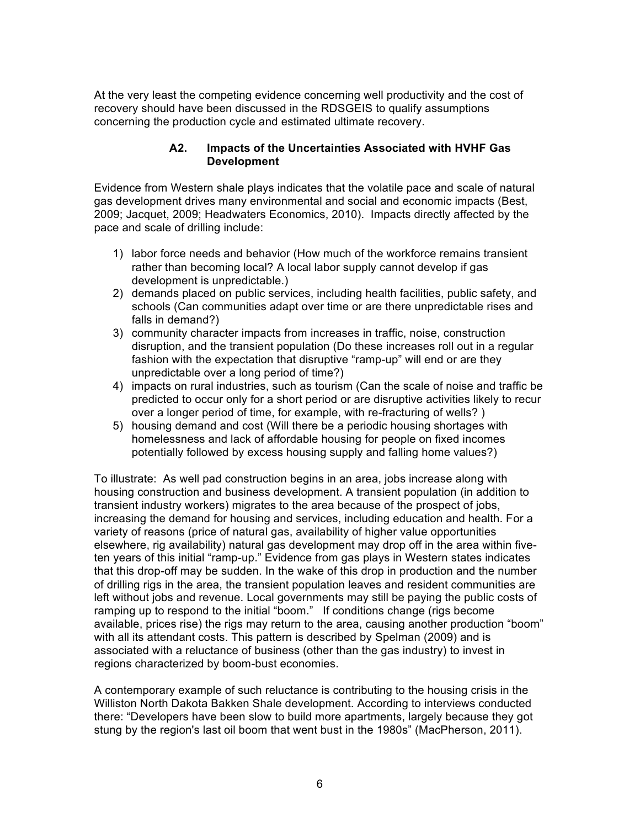At the very least the competing evidence concerning well productivity and the cost of recovery should have been discussed in the RDSGEIS to qualify assumptions concerning the production cycle and estimated ultimate recovery.

#### **A2. Impacts of the Uncertainties Associated with HVHF Gas Development**

Evidence from Western shale plays indicates that the volatile pace and scale of natural gas development drives many environmental and social and economic impacts (Best, 2009; Jacquet, 2009; Headwaters Economics, 2010). Impacts directly affected by the pace and scale of drilling include:

- 1) labor force needs and behavior (How much of the workforce remains transient rather than becoming local? A local labor supply cannot develop if gas development is unpredictable.)
- 2) demands placed on public services, including health facilities, public safety, and schools (Can communities adapt over time or are there unpredictable rises and falls in demand?)
- 3) community character impacts from increases in traffic, noise, construction disruption, and the transient population (Do these increases roll out in a regular fashion with the expectation that disruptive "ramp-up" will end or are they unpredictable over a long period of time?)
- 4) impacts on rural industries, such as tourism (Can the scale of noise and traffic be predicted to occur only for a short period or are disruptive activities likely to recur over a longer period of time, for example, with re-fracturing of wells? )
- 5) housing demand and cost (Will there be a periodic housing shortages with homelessness and lack of affordable housing for people on fixed incomes potentially followed by excess housing supply and falling home values?)

To illustrate: As well pad construction begins in an area, jobs increase along with housing construction and business development. A transient population (in addition to transient industry workers) migrates to the area because of the prospect of jobs, increasing the demand for housing and services, including education and health. For a variety of reasons (price of natural gas, availability of higher value opportunities elsewhere, rig availability) natural gas development may drop off in the area within fiveten years of this initial "ramp-up." Evidence from gas plays in Western states indicates that this drop-off may be sudden. In the wake of this drop in production and the number of drilling rigs in the area, the transient population leaves and resident communities are left without jobs and revenue. Local governments may still be paying the public costs of ramping up to respond to the initial "boom." If conditions change (rigs become available, prices rise) the rigs may return to the area, causing another production "boom" with all its attendant costs. This pattern is described by Spelman (2009) and is associated with a reluctance of business (other than the gas industry) to invest in regions characterized by boom-bust economies.

A contemporary example of such reluctance is contributing to the housing crisis in the Williston North Dakota Bakken Shale development. According to interviews conducted there: "Developers have been slow to build more apartments, largely because they got stung by the region's last oil boom that went bust in the 1980s" (MacPherson, 2011).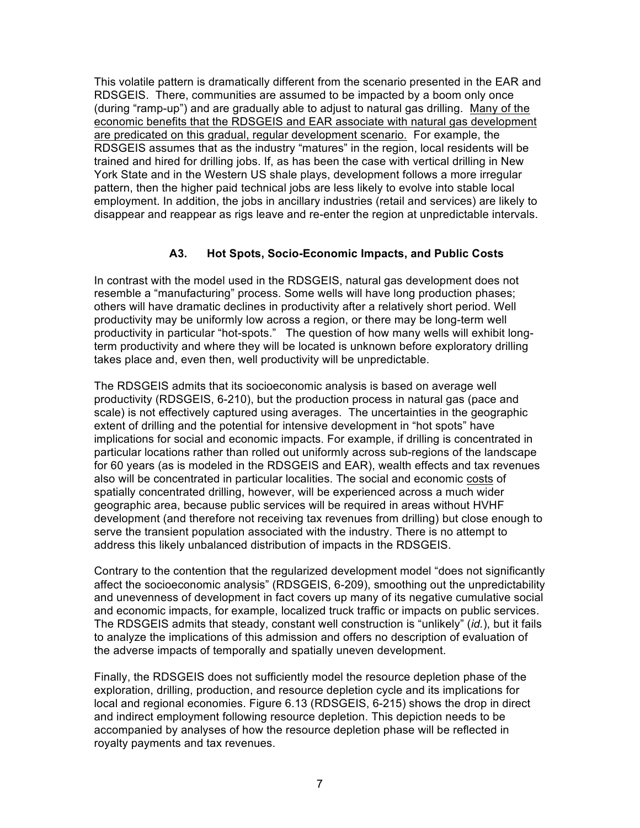This volatile pattern is dramatically different from the scenario presented in the EAR and RDSGEIS. There, communities are assumed to be impacted by a boom only once (during "ramp-up") and are gradually able to adjust to natural gas drilling. Many of the economic benefits that the RDSGEIS and EAR associate with natural gas development are predicated on this gradual, regular development scenario. For example, the RDSGEIS assumes that as the industry "matures" in the region, local residents will be trained and hired for drilling jobs. If, as has been the case with vertical drilling in New York State and in the Western US shale plays, development follows a more irregular pattern, then the higher paid technical jobs are less likely to evolve into stable local employment. In addition, the jobs in ancillary industries (retail and services) are likely to disappear and reappear as rigs leave and re-enter the region at unpredictable intervals.

## **A3. Hot Spots, Socio-Economic Impacts, and Public Costs**

In contrast with the model used in the RDSGEIS, natural gas development does not resemble a "manufacturing" process. Some wells will have long production phases; others will have dramatic declines in productivity after a relatively short period. Well productivity may be uniformly low across a region, or there may be long-term well productivity in particular "hot-spots." The question of how many wells will exhibit longterm productivity and where they will be located is unknown before exploratory drilling takes place and, even then, well productivity will be unpredictable.

The RDSGEIS admits that its socioeconomic analysis is based on average well productivity (RDSGEIS, 6-210), but the production process in natural gas (pace and scale) is not effectively captured using averages. The uncertainties in the geographic extent of drilling and the potential for intensive development in "hot spots" have implications for social and economic impacts. For example, if drilling is concentrated in particular locations rather than rolled out uniformly across sub-regions of the landscape for 60 years (as is modeled in the RDSGEIS and EAR), wealth effects and tax revenues also will be concentrated in particular localities. The social and economic costs of spatially concentrated drilling, however, will be experienced across a much wider geographic area, because public services will be required in areas without HVHF development (and therefore not receiving tax revenues from drilling) but close enough to serve the transient population associated with the industry. There is no attempt to address this likely unbalanced distribution of impacts in the RDSGEIS.

Contrary to the contention that the regularized development model "does not significantly affect the socioeconomic analysis" (RDSGEIS, 6-209), smoothing out the unpredictability and unevenness of development in fact covers up many of its negative cumulative social and economic impacts, for example, localized truck traffic or impacts on public services. The RDSGEIS admits that steady, constant well construction is "unlikely" (*id.*), but it fails to analyze the implications of this admission and offers no description of evaluation of the adverse impacts of temporally and spatially uneven development.

Finally, the RDSGEIS does not sufficiently model the resource depletion phase of the exploration, drilling, production, and resource depletion cycle and its implications for local and regional economies. Figure 6.13 (RDSGEIS, 6-215) shows the drop in direct and indirect employment following resource depletion. This depiction needs to be accompanied by analyses of how the resource depletion phase will be reflected in royalty payments and tax revenues.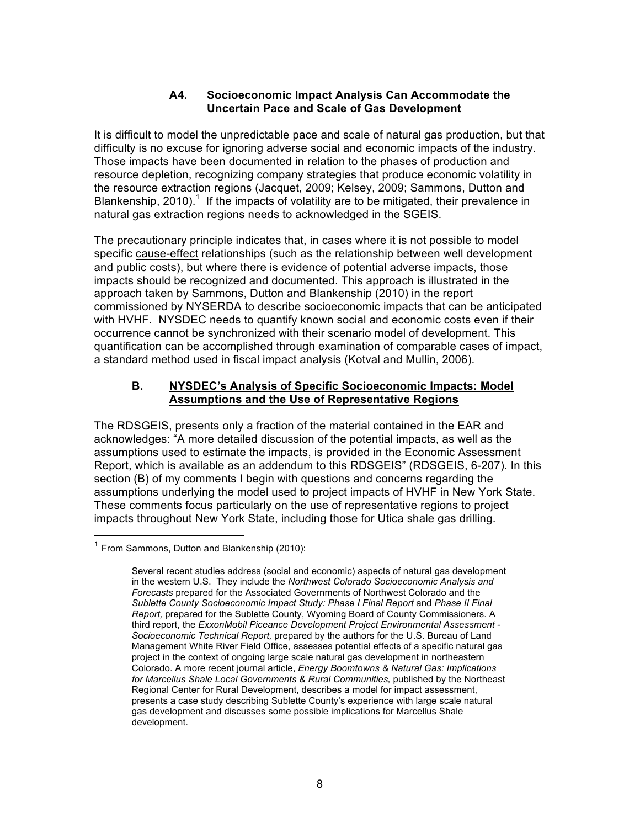### **A4. Socioeconomic Impact Analysis Can Accommodate the Uncertain Pace and Scale of Gas Development**

It is difficult to model the unpredictable pace and scale of natural gas production, but that difficulty is no excuse for ignoring adverse social and economic impacts of the industry. Those impacts have been documented in relation to the phases of production and resource depletion, recognizing company strategies that produce economic volatility in the resource extraction regions (Jacquet, 2009; Kelsey, 2009; Sammons, Dutton and Blankenship, 2010).<sup>1</sup> If the impacts of volatility are to be mitigated, their prevalence in natural gas extraction regions needs to acknowledged in the SGEIS.

The precautionary principle indicates that, in cases where it is not possible to model specific cause-effect relationships (such as the relationship between well development and public costs), but where there is evidence of potential adverse impacts, those impacts should be recognized and documented. This approach is illustrated in the approach taken by Sammons, Dutton and Blankenship (2010) in the report commissioned by NYSERDA to describe socioeconomic impacts that can be anticipated with HVHF. NYSDEC needs to quantify known social and economic costs even if their occurrence cannot be synchronized with their scenario model of development. This quantification can be accomplished through examination of comparable cases of impact, a standard method used in fiscal impact analysis (Kotval and Mullin, 2006).

### **B. NYSDEC's Analysis of Specific Socioeconomic Impacts: Model Assumptions and the Use of Representative Regions**

The RDSGEIS, presents only a fraction of the material contained in the EAR and acknowledges: "A more detailed discussion of the potential impacts, as well as the assumptions used to estimate the impacts, is provided in the Economic Assessment Report, which is available as an addendum to this RDSGEIS" (RDSGEIS, 6-207). In this section (B) of my comments I begin with questions and concerns regarding the assumptions underlying the model used to project impacts of HVHF in New York State. These comments focus particularly on the use of representative regions to project impacts throughout New York State, including those for Utica shale gas drilling.

 $1$  From Sammons, Dutton and Blankenship (2010):

Several recent studies address (social and economic) aspects of natural gas development in the western U.S. They include the *Northwest Colorado Socioeconomic Analysis and Forecasts* prepared for the Associated Governments of Northwest Colorado and the *Sublette County Socioeconomic Impact Study: Phase I Final Report* and *Phase II Final Report,* prepared for the Sublette County, Wyoming Board of County Commissioners. A third report, the *ExxonMobil Piceance Development Project Environmental Assessment - Socioeconomic Technical Report,* prepared by the authors for the U.S. Bureau of Land Management White River Field Office, assesses potential effects of a specific natural gas project in the context of ongoing large scale natural gas development in northeastern Colorado. A more recent journal article, *Energy Boomtowns & Natural Gas: Implications for Marcellus Shale Local Governments & Rural Communities,* published by the Northeast Regional Center for Rural Development, describes a model for impact assessment, presents a case study describing Sublette County's experience with large scale natural gas development and discusses some possible implications for Marcellus Shale development.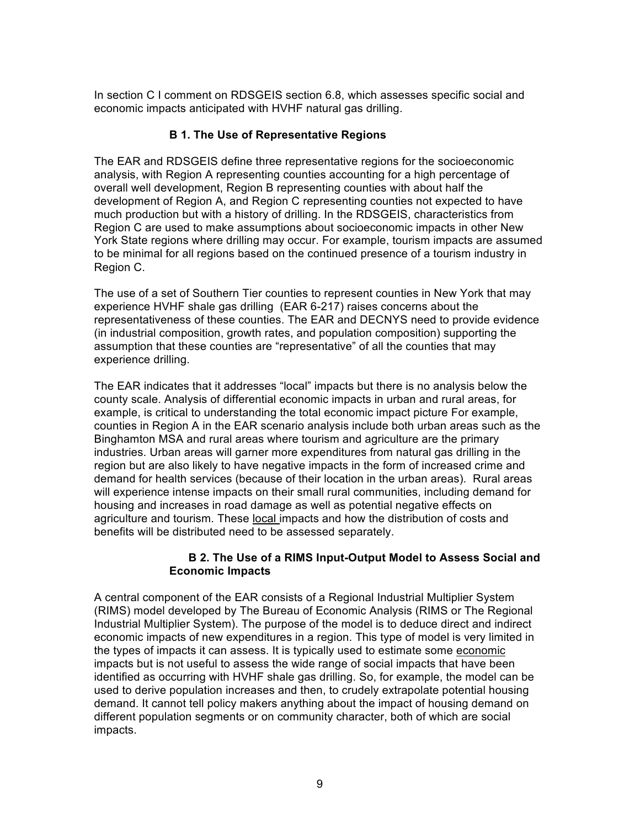In section C I comment on RDSGEIS section 6.8, which assesses specific social and economic impacts anticipated with HVHF natural gas drilling.

#### **B 1. The Use of Representative Regions**

The EAR and RDSGEIS define three representative regions for the socioeconomic analysis, with Region A representing counties accounting for a high percentage of overall well development, Region B representing counties with about half the development of Region A, and Region C representing counties not expected to have much production but with a history of drilling. In the RDSGEIS, characteristics from Region C are used to make assumptions about socioeconomic impacts in other New York State regions where drilling may occur. For example, tourism impacts are assumed to be minimal for all regions based on the continued presence of a tourism industry in Region C.

The use of a set of Southern Tier counties to represent counties in New York that may experience HVHF shale gas drilling (EAR 6-217) raises concerns about the representativeness of these counties. The EAR and DECNYS need to provide evidence (in industrial composition, growth rates, and population composition) supporting the assumption that these counties are "representative" of all the counties that may experience drilling.

The EAR indicates that it addresses "local" impacts but there is no analysis below the county scale. Analysis of differential economic impacts in urban and rural areas, for example, is critical to understanding the total economic impact picture For example, counties in Region A in the EAR scenario analysis include both urban areas such as the Binghamton MSA and rural areas where tourism and agriculture are the primary industries. Urban areas will garner more expenditures from natural gas drilling in the region but are also likely to have negative impacts in the form of increased crime and demand for health services (because of their location in the urban areas). Rural areas will experience intense impacts on their small rural communities, including demand for housing and increases in road damage as well as potential negative effects on agriculture and tourism. These local impacts and how the distribution of costs and benefits will be distributed need to be assessed separately.

#### **B 2. The Use of a RIMS Input-Output Model to Assess Social and Economic Impacts**

A central component of the EAR consists of a Regional Industrial Multiplier System (RIMS) model developed by The Bureau of Economic Analysis (RIMS or The Regional Industrial Multiplier System). The purpose of the model is to deduce direct and indirect economic impacts of new expenditures in a region. This type of model is very limited in the types of impacts it can assess. It is typically used to estimate some economic impacts but is not useful to assess the wide range of social impacts that have been identified as occurring with HVHF shale gas drilling. So, for example, the model can be used to derive population increases and then, to crudely extrapolate potential housing demand. It cannot tell policy makers anything about the impact of housing demand on different population segments or on community character, both of which are social impacts.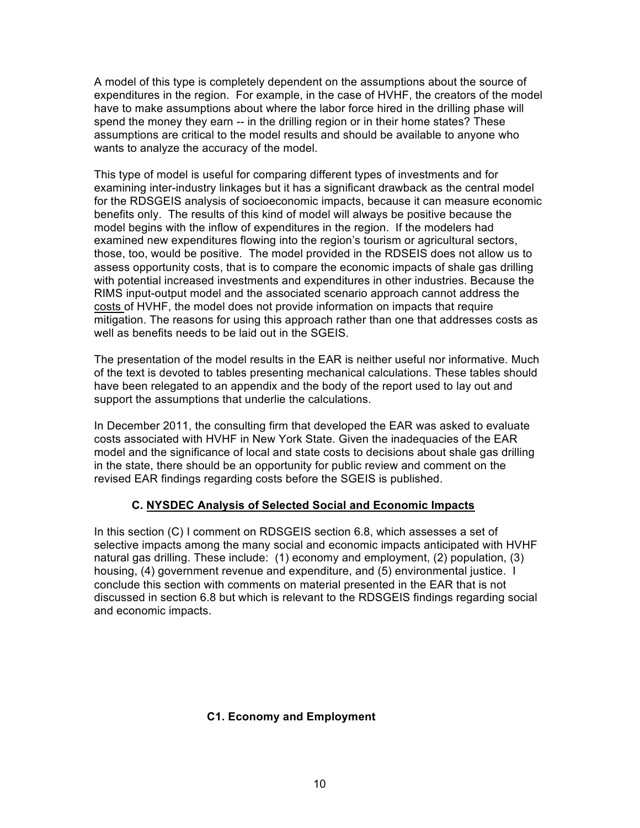A model of this type is completely dependent on the assumptions about the source of expenditures in the region. For example, in the case of HVHF, the creators of the model have to make assumptions about where the labor force hired in the drilling phase will spend the money they earn -- in the drilling region or in their home states? These assumptions are critical to the model results and should be available to anyone who wants to analyze the accuracy of the model.

This type of model is useful for comparing different types of investments and for examining inter-industry linkages but it has a significant drawback as the central model for the RDSGEIS analysis of socioeconomic impacts, because it can measure economic benefits only. The results of this kind of model will always be positive because the model begins with the inflow of expenditures in the region. If the modelers had examined new expenditures flowing into the region's tourism or agricultural sectors, those, too, would be positive. The model provided in the RDSEIS does not allow us to assess opportunity costs, that is to compare the economic impacts of shale gas drilling with potential increased investments and expenditures in other industries. Because the RIMS input-output model and the associated scenario approach cannot address the costs of HVHF, the model does not provide information on impacts that require mitigation. The reasons for using this approach rather than one that addresses costs as well as benefits needs to be laid out in the SGEIS.

The presentation of the model results in the EAR is neither useful nor informative. Much of the text is devoted to tables presenting mechanical calculations. These tables should have been relegated to an appendix and the body of the report used to lay out and support the assumptions that underlie the calculations.

In December 2011, the consulting firm that developed the EAR was asked to evaluate costs associated with HVHF in New York State. Given the inadequacies of the EAR model and the significance of local and state costs to decisions about shale gas drilling in the state, there should be an opportunity for public review and comment on the revised EAR findings regarding costs before the SGEIS is published.

### **C. NYSDEC Analysis of Selected Social and Economic Impacts**

In this section (C) I comment on RDSGEIS section 6.8, which assesses a set of selective impacts among the many social and economic impacts anticipated with HVHF natural gas drilling. These include: (1) economy and employment, (2) population, (3) housing, (4) government revenue and expenditure, and (5) environmental justice. I conclude this section with comments on material presented in the EAR that is not discussed in section 6.8 but which is relevant to the RDSGEIS findings regarding social and economic impacts.

### **C1. Economy and Employment**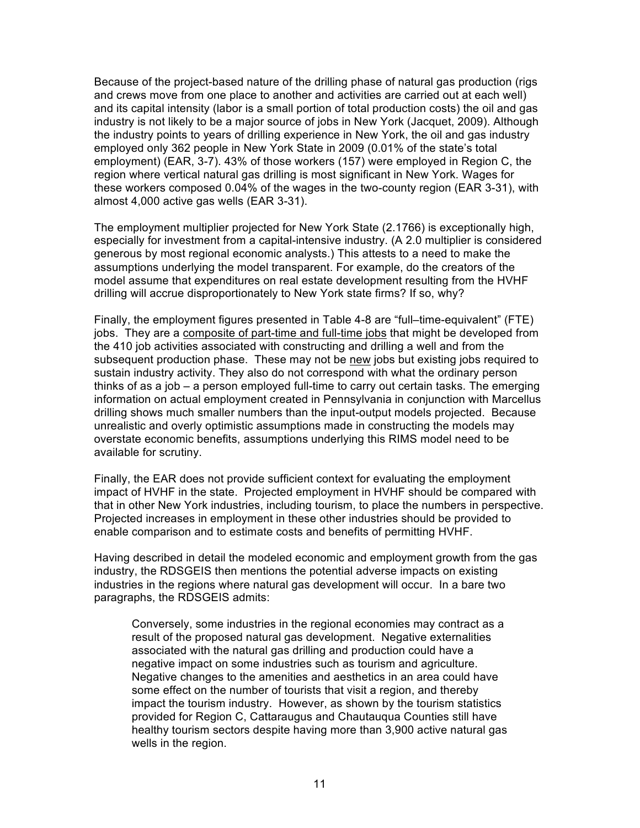Because of the project-based nature of the drilling phase of natural gas production (rigs and crews move from one place to another and activities are carried out at each well) and its capital intensity (labor is a small portion of total production costs) the oil and gas industry is not likely to be a major source of jobs in New York (Jacquet, 2009). Although the industry points to years of drilling experience in New York, the oil and gas industry employed only 362 people in New York State in 2009 (0.01% of the state's total employment) (EAR, 3-7). 43% of those workers (157) were employed in Region C, the region where vertical natural gas drilling is most significant in New York. Wages for these workers composed 0.04% of the wages in the two-county region (EAR 3-31), with almost 4,000 active gas wells (EAR 3-31).

The employment multiplier projected for New York State (2.1766) is exceptionally high, especially for investment from a capital-intensive industry. (A 2.0 multiplier is considered generous by most regional economic analysts.) This attests to a need to make the assumptions underlying the model transparent. For example, do the creators of the model assume that expenditures on real estate development resulting from the HVHF drilling will accrue disproportionately to New York state firms? If so, why?

Finally, the employment figures presented in Table 4-8 are "full–time-equivalent" (FTE) jobs. They are a composite of part-time and full-time jobs that might be developed from the 410 job activities associated with constructing and drilling a well and from the subsequent production phase. These may not be new jobs but existing jobs required to sustain industry activity. They also do not correspond with what the ordinary person thinks of as a job – a person employed full-time to carry out certain tasks. The emerging information on actual employment created in Pennsylvania in conjunction with Marcellus drilling shows much smaller numbers than the input-output models projected. Because unrealistic and overly optimistic assumptions made in constructing the models may overstate economic benefits, assumptions underlying this RIMS model need to be available for scrutiny.

Finally, the EAR does not provide sufficient context for evaluating the employment impact of HVHF in the state. Projected employment in HVHF should be compared with that in other New York industries, including tourism, to place the numbers in perspective. Projected increases in employment in these other industries should be provided to enable comparison and to estimate costs and benefits of permitting HVHF.

Having described in detail the modeled economic and employment growth from the gas industry, the RDSGEIS then mentions the potential adverse impacts on existing industries in the regions where natural gas development will occur. In a bare two paragraphs, the RDSGEIS admits:

Conversely, some industries in the regional economies may contract as a result of the proposed natural gas development. Negative externalities associated with the natural gas drilling and production could have a negative impact on some industries such as tourism and agriculture. Negative changes to the amenities and aesthetics in an area could have some effect on the number of tourists that visit a region, and thereby impact the tourism industry. However, as shown by the tourism statistics provided for Region C, Cattaraugus and Chautauqua Counties still have healthy tourism sectors despite having more than 3,900 active natural gas wells in the region.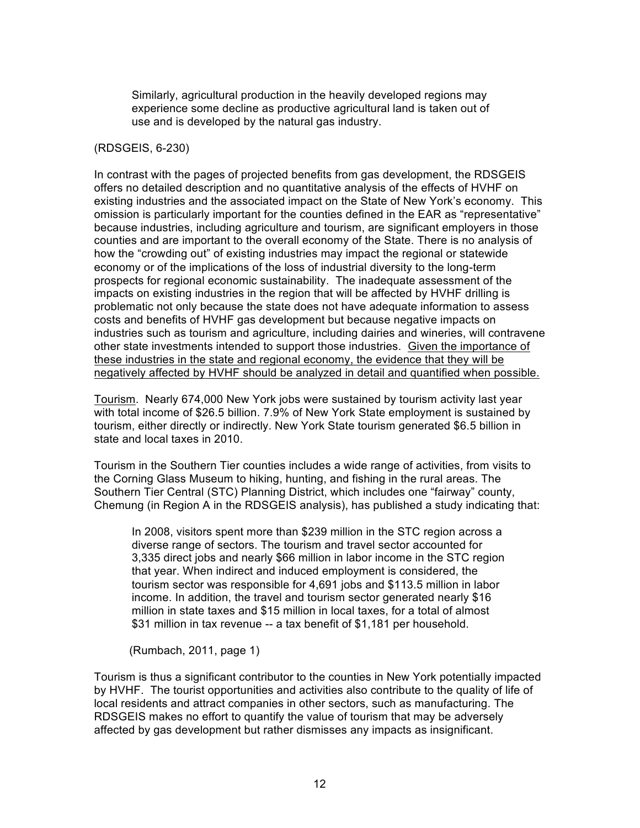Similarly, agricultural production in the heavily developed regions may experience some decline as productive agricultural land is taken out of use and is developed by the natural gas industry.

#### (RDSGEIS, 6-230)

In contrast with the pages of projected benefits from gas development, the RDSGEIS offers no detailed description and no quantitative analysis of the effects of HVHF on existing industries and the associated impact on the State of New York's economy. This omission is particularly important for the counties defined in the EAR as "representative" because industries, including agriculture and tourism, are significant employers in those counties and are important to the overall economy of the State. There is no analysis of how the "crowding out" of existing industries may impact the regional or statewide economy or of the implications of the loss of industrial diversity to the long-term prospects for regional economic sustainability. The inadequate assessment of the impacts on existing industries in the region that will be affected by HVHF drilling is problematic not only because the state does not have adequate information to assess costs and benefits of HVHF gas development but because negative impacts on industries such as tourism and agriculture, including dairies and wineries, will contravene other state investments intended to support those industries. Given the importance of these industries in the state and regional economy, the evidence that they will be negatively affected by HVHF should be analyzed in detail and quantified when possible.

Tourism. Nearly 674,000 New York jobs were sustained by tourism activity last year with total income of \$26.5 billion. 7.9% of New York State employment is sustained by tourism, either directly or indirectly. New York State tourism generated \$6.5 billion in state and local taxes in 2010.

Tourism in the Southern Tier counties includes a wide range of activities, from visits to the Corning Glass Museum to hiking, hunting, and fishing in the rural areas. The Southern Tier Central (STC) Planning District, which includes one "fairway" county, Chemung (in Region A in the RDSGEIS analysis), has published a study indicating that:

In 2008, visitors spent more than \$239 million in the STC region across a diverse range of sectors. The tourism and travel sector accounted for 3,335 direct jobs and nearly \$66 million in labor income in the STC region that year. When indirect and induced employment is considered, the tourism sector was responsible for 4,691 jobs and \$113.5 million in labor income. In addition, the travel and tourism sector generated nearly \$16 million in state taxes and \$15 million in local taxes, for a total of almost \$31 million in tax revenue -- a tax benefit of \$1,181 per household.

(Rumbach, 2011, page 1)

Tourism is thus a significant contributor to the counties in New York potentially impacted by HVHF. The tourist opportunities and activities also contribute to the quality of life of local residents and attract companies in other sectors, such as manufacturing. The RDSGEIS makes no effort to quantify the value of tourism that may be adversely affected by gas development but rather dismisses any impacts as insignificant.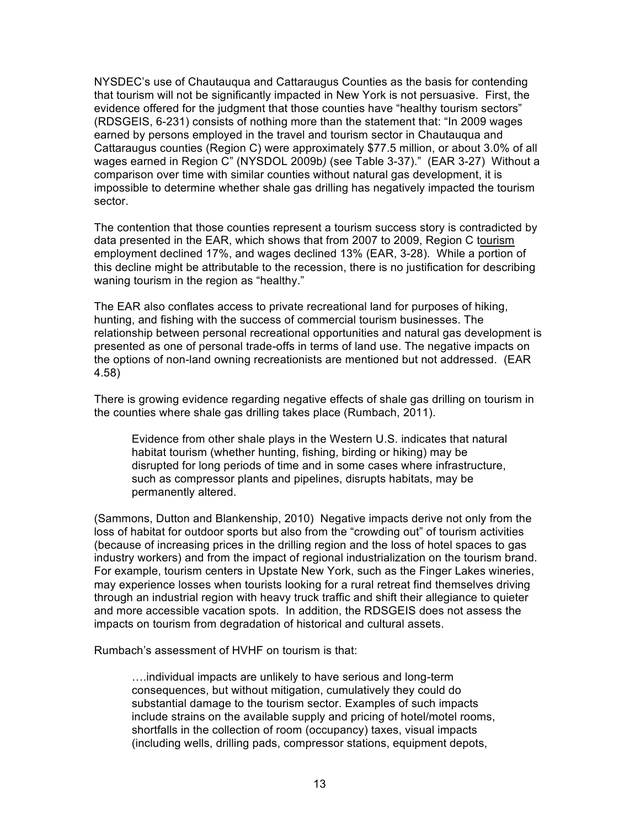NYSDEC's use of Chautauqua and Cattaraugus Counties as the basis for contending that tourism will not be significantly impacted in New York is not persuasive. First, the evidence offered for the judgment that those counties have "healthy tourism sectors" (RDSGEIS, 6-231) consists of nothing more than the statement that: "In 2009 wages earned by persons employed in the travel and tourism sector in Chautauqua and Cattaraugus counties (Region C) were approximately \$77.5 million, or about 3.0% of all wages earned in Region C" (NYSDOL 2009b*)* (see Table 3-37)." (EAR 3-27) Without a comparison over time with similar counties without natural gas development, it is impossible to determine whether shale gas drilling has negatively impacted the tourism sector.

The contention that those counties represent a tourism success story is contradicted by data presented in the EAR, which shows that from 2007 to 2009, Region C tourism employment declined 17%, and wages declined 13% (EAR, 3-28). While a portion of this decline might be attributable to the recession, there is no justification for describing waning tourism in the region as "healthy."

The EAR also conflates access to private recreational land for purposes of hiking, hunting, and fishing with the success of commercial tourism businesses. The relationship between personal recreational opportunities and natural gas development is presented as one of personal trade-offs in terms of land use. The negative impacts on the options of non-land owning recreationists are mentioned but not addressed. (EAR 4.58)

There is growing evidence regarding negative effects of shale gas drilling on tourism in the counties where shale gas drilling takes place (Rumbach, 2011).

Evidence from other shale plays in the Western U.S. indicates that natural habitat tourism (whether hunting, fishing, birding or hiking) may be disrupted for long periods of time and in some cases where infrastructure, such as compressor plants and pipelines, disrupts habitats, may be permanently altered.

(Sammons, Dutton and Blankenship, 2010) Negative impacts derive not only from the loss of habitat for outdoor sports but also from the "crowding out" of tourism activities (because of increasing prices in the drilling region and the loss of hotel spaces to gas industry workers) and from the impact of regional industrialization on the tourism brand. For example, tourism centers in Upstate New York, such as the Finger Lakes wineries, may experience losses when tourists looking for a rural retreat find themselves driving through an industrial region with heavy truck traffic and shift their allegiance to quieter and more accessible vacation spots. In addition, the RDSGEIS does not assess the impacts on tourism from degradation of historical and cultural assets.

Rumbach's assessment of HVHF on tourism is that:

….individual impacts are unlikely to have serious and long-term consequences, but without mitigation, cumulatively they could do substantial damage to the tourism sector. Examples of such impacts include strains on the available supply and pricing of hotel/motel rooms, shortfalls in the collection of room (occupancy) taxes, visual impacts (including wells, drilling pads, compressor stations, equipment depots,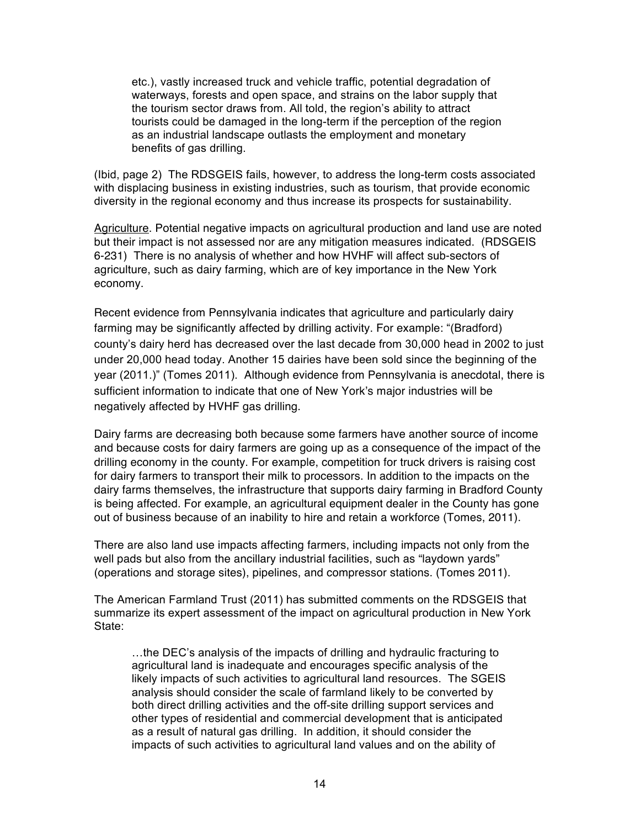etc.), vastly increased truck and vehicle traffic, potential degradation of waterways, forests and open space, and strains on the labor supply that the tourism sector draws from. All told, the region's ability to attract tourists could be damaged in the long-term if the perception of the region as an industrial landscape outlasts the employment and monetary benefits of gas drilling.

(Ibid, page 2) The RDSGEIS fails, however, to address the long-term costs associated with displacing business in existing industries, such as tourism, that provide economic diversity in the regional economy and thus increase its prospects for sustainability.

Agriculture. Potential negative impacts on agricultural production and land use are noted but their impact is not assessed nor are any mitigation measures indicated. (RDSGEIS 6-231) There is no analysis of whether and how HVHF will affect sub-sectors of agriculture, such as dairy farming, which are of key importance in the New York economy.

Recent evidence from Pennsylvania indicates that agriculture and particularly dairy farming may be significantly affected by drilling activity. For example: "(Bradford) county's dairy herd has decreased over the last decade from 30,000 head in 2002 to just under 20,000 head today. Another 15 dairies have been sold since the beginning of the year (2011.)" (Tomes 2011). Although evidence from Pennsylvania is anecdotal, there is sufficient information to indicate that one of New York's major industries will be negatively affected by HVHF gas drilling.

Dairy farms are decreasing both because some farmers have another source of income and because costs for dairy farmers are going up as a consequence of the impact of the drilling economy in the county. For example, competition for truck drivers is raising cost for dairy farmers to transport their milk to processors. In addition to the impacts on the dairy farms themselves, the infrastructure that supports dairy farming in Bradford County is being affected. For example, an agricultural equipment dealer in the County has gone out of business because of an inability to hire and retain a workforce (Tomes, 2011).

There are also land use impacts affecting farmers, including impacts not only from the well pads but also from the ancillary industrial facilities, such as "laydown yards" (operations and storage sites), pipelines, and compressor stations. (Tomes 2011).

The American Farmland Trust (2011) has submitted comments on the RDSGEIS that summarize its expert assessment of the impact on agricultural production in New York State:

…the DEC's analysis of the impacts of drilling and hydraulic fracturing to agricultural land is inadequate and encourages specific analysis of the likely impacts of such activities to agricultural land resources. The SGEIS analysis should consider the scale of farmland likely to be converted by both direct drilling activities and the off-site drilling support services and other types of residential and commercial development that is anticipated as a result of natural gas drilling. In addition, it should consider the impacts of such activities to agricultural land values and on the ability of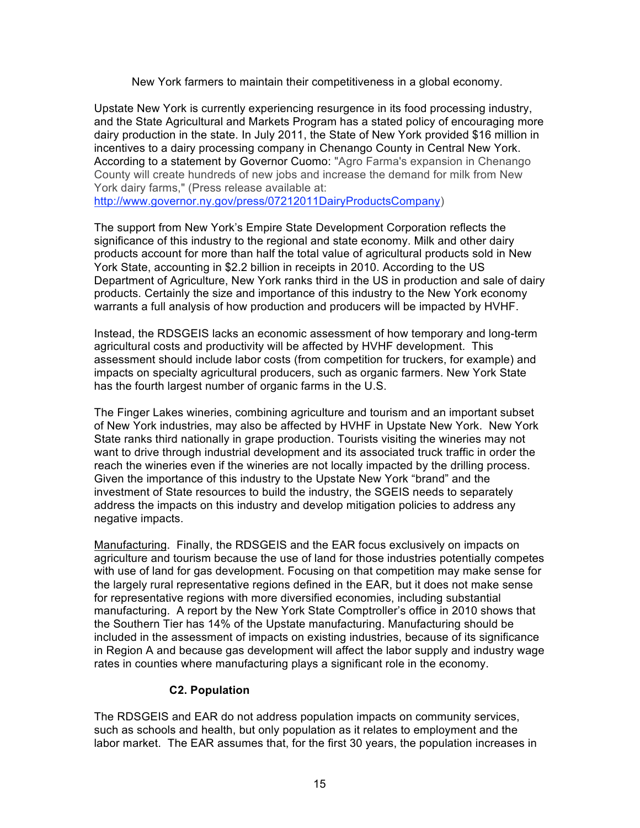New York farmers to maintain their competitiveness in a global economy*.* 

Upstate New York is currently experiencing resurgence in its food processing industry, and the State Agricultural and Markets Program has a stated policy of encouraging more dairy production in the state. In July 2011, the State of New York provided \$16 million in incentives to a dairy processing company in Chenango County in Central New York. According to a statement by Governor Cuomo: "Agro Farma's expansion in Chenango County will create hundreds of new jobs and increase the demand for milk from New York dairy farms," (Press release available at:

http://www.governor.ny.gov/press/07212011DairyProductsCompany)

The support from New York's Empire State Development Corporation reflects the significance of this industry to the regional and state economy. Milk and other dairy products account for more than half the total value of agricultural products sold in New York State, accounting in \$2.2 billion in receipts in 2010. According to the US Department of Agriculture, New York ranks third in the US in production and sale of dairy products. Certainly the size and importance of this industry to the New York economy warrants a full analysis of how production and producers will be impacted by HVHF.

Instead, the RDSGEIS lacks an economic assessment of how temporary and long-term agricultural costs and productivity will be affected by HVHF development. This assessment should include labor costs (from competition for truckers, for example) and impacts on specialty agricultural producers, such as organic farmers. New York State has the fourth largest number of organic farms in the U.S.

The Finger Lakes wineries, combining agriculture and tourism and an important subset of New York industries, may also be affected by HVHF in Upstate New York. New York State ranks third nationally in grape production. Tourists visiting the wineries may not want to drive through industrial development and its associated truck traffic in order the reach the wineries even if the wineries are not locally impacted by the drilling process. Given the importance of this industry to the Upstate New York "brand" and the investment of State resources to build the industry, the SGEIS needs to separately address the impacts on this industry and develop mitigation policies to address any negative impacts.

Manufacturing. Finally, the RDSGEIS and the EAR focus exclusively on impacts on agriculture and tourism because the use of land for those industries potentially competes with use of land for gas development. Focusing on that competition may make sense for the largely rural representative regions defined in the EAR, but it does not make sense for representative regions with more diversified economies, including substantial manufacturing. A report by the New York State Comptroller's office in 2010 shows that the Southern Tier has 14% of the Upstate manufacturing. Manufacturing should be included in the assessment of impacts on existing industries, because of its significance in Region A and because gas development will affect the labor supply and industry wage rates in counties where manufacturing plays a significant role in the economy.

### **C2. Population**

The RDSGEIS and EAR do not address population impacts on community services, such as schools and health, but only population as it relates to employment and the labor market. The EAR assumes that, for the first 30 years, the population increases in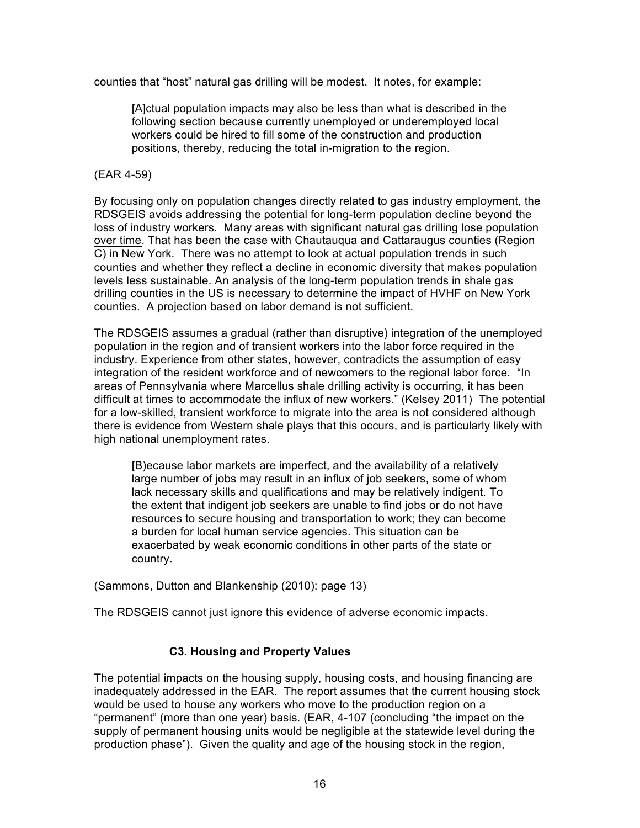counties that "host" natural gas drilling will be modest. It notes, for example:

[A]ctual population impacts may also be less than what is described in the following section because currently unemployed or underemployed local workers could be hired to fill some of the construction and production positions, thereby, reducing the total in-migration to the region.

#### (EAR 4-59)

By focusing only on population changes directly related to gas industry employment, the RDSGEIS avoids addressing the potential for long-term population decline beyond the loss of industry workers. Many areas with significant natural gas drilling lose population over time. That has been the case with Chautauqua and Cattaraugus counties (Region C) in New York. There was no attempt to look at actual population trends in such counties and whether they reflect a decline in economic diversity that makes population levels less sustainable. An analysis of the long-term population trends in shale gas drilling counties in the US is necessary to determine the impact of HVHF on New York counties. A projection based on labor demand is not sufficient.

The RDSGEIS assumes a gradual (rather than disruptive) integration of the unemployed population in the region and of transient workers into the labor force required in the industry. Experience from other states, however, contradicts the assumption of easy integration of the resident workforce and of newcomers to the regional labor force. "In areas of Pennsylvania where Marcellus shale drilling activity is occurring, it has been difficult at times to accommodate the influx of new workers." (Kelsey 2011) The potential for a low-skilled, transient workforce to migrate into the area is not considered although there is evidence from Western shale plays that this occurs, and is particularly likely with high national unemployment rates.

[B)ecause labor markets are imperfect, and the availability of a relatively large number of jobs may result in an influx of job seekers, some of whom lack necessary skills and qualifications and may be relatively indigent. To the extent that indigent job seekers are unable to find jobs or do not have resources to secure housing and transportation to work; they can become a burden for local human service agencies. This situation can be exacerbated by weak economic conditions in other parts of the state or country.

(Sammons, Dutton and Blankenship (2010): page 13)

The RDSGEIS cannot just ignore this evidence of adverse economic impacts.

### **C3. Housing and Property Values**

The potential impacts on the housing supply, housing costs, and housing financing are inadequately addressed in the EAR. The report assumes that the current housing stock would be used to house any workers who move to the production region on a "permanent" (more than one year) basis. (EAR, 4-107 (concluding "the impact on the supply of permanent housing units would be negligible at the statewide level during the production phase"). Given the quality and age of the housing stock in the region,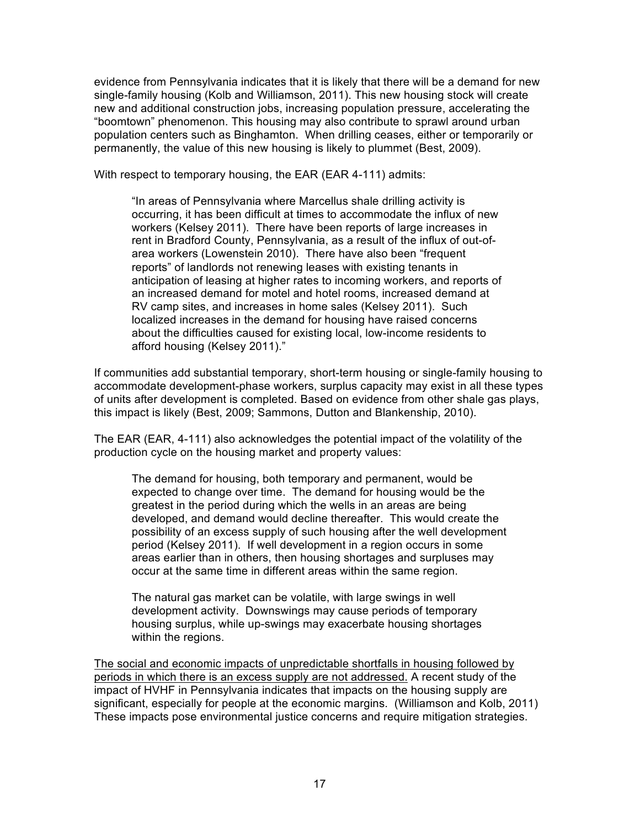evidence from Pennsylvania indicates that it is likely that there will be a demand for new single-family housing (Kolb and Williamson, 2011). This new housing stock will create new and additional construction jobs, increasing population pressure, accelerating the "boomtown" phenomenon. This housing may also contribute to sprawl around urban population centers such as Binghamton. When drilling ceases, either or temporarily or permanently, the value of this new housing is likely to plummet (Best, 2009).

With respect to temporary housing, the EAR (EAR 4-111) admits:

"In areas of Pennsylvania where Marcellus shale drilling activity is occurring, it has been difficult at times to accommodate the influx of new workers (Kelsey 2011). There have been reports of large increases in rent in Bradford County, Pennsylvania, as a result of the influx of out-ofarea workers (Lowenstein 2010). There have also been "frequent reports" of landlords not renewing leases with existing tenants in anticipation of leasing at higher rates to incoming workers, and reports of an increased demand for motel and hotel rooms, increased demand at RV camp sites, and increases in home sales (Kelsey 2011). Such localized increases in the demand for housing have raised concerns about the difficulties caused for existing local, low-income residents to afford housing (Kelsey 2011)."

If communities add substantial temporary, short-term housing or single-family housing to accommodate development-phase workers, surplus capacity may exist in all these types of units after development is completed. Based on evidence from other shale gas plays, this impact is likely (Best, 2009; Sammons, Dutton and Blankenship, 2010).

The EAR (EAR, 4-111) also acknowledges the potential impact of the volatility of the production cycle on the housing market and property values:

The demand for housing, both temporary and permanent, would be expected to change over time. The demand for housing would be the greatest in the period during which the wells in an areas are being developed, and demand would decline thereafter. This would create the possibility of an excess supply of such housing after the well development period (Kelsey 2011). If well development in a region occurs in some areas earlier than in others, then housing shortages and surpluses may occur at the same time in different areas within the same region.

The natural gas market can be volatile, with large swings in well development activity. Downswings may cause periods of temporary housing surplus, while up-swings may exacerbate housing shortages within the regions.

The social and economic impacts of unpredictable shortfalls in housing followed by periods in which there is an excess supply are not addressed. A recent study of the impact of HVHF in Pennsylvania indicates that impacts on the housing supply are significant, especially for people at the economic margins. (Williamson and Kolb, 2011) These impacts pose environmental justice concerns and require mitigation strategies.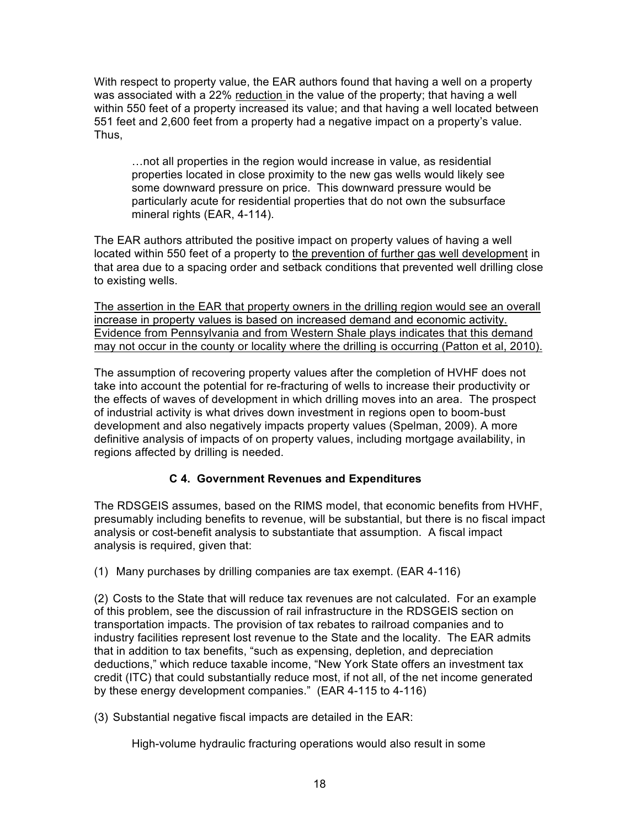With respect to property value, the EAR authors found that having a well on a property was associated with a 22% reduction in the value of the property; that having a well within 550 feet of a property increased its value; and that having a well located between 551 feet and 2,600 feet from a property had a negative impact on a property's value. Thus,

…not all properties in the region would increase in value, as residential properties located in close proximity to the new gas wells would likely see some downward pressure on price. This downward pressure would be particularly acute for residential properties that do not own the subsurface mineral rights (EAR, 4-114).

The EAR authors attributed the positive impact on property values of having a well located within 550 feet of a property to the prevention of further gas well development in that area due to a spacing order and setback conditions that prevented well drilling close to existing wells.

The assertion in the EAR that property owners in the drilling region would see an overall increase in property values is based on increased demand and economic activity. Evidence from Pennsylvania and from Western Shale plays indicates that this demand may not occur in the county or locality where the drilling is occurring (Patton et al, 2010).

The assumption of recovering property values after the completion of HVHF does not take into account the potential for re-fracturing of wells to increase their productivity or the effects of waves of development in which drilling moves into an area. The prospect of industrial activity is what drives down investment in regions open to boom-bust development and also negatively impacts property values (Spelman, 2009). A more definitive analysis of impacts of on property values, including mortgage availability, in regions affected by drilling is needed.

## **C 4. Government Revenues and Expenditures**

The RDSGEIS assumes, based on the RIMS model, that economic benefits from HVHF, presumably including benefits to revenue, will be substantial, but there is no fiscal impact analysis or cost-benefit analysis to substantiate that assumption. A fiscal impact analysis is required, given that:

(1) Many purchases by drilling companies are tax exempt. (EAR 4-116)

(2) Costs to the State that will reduce tax revenues are not calculated. For an example of this problem, see the discussion of rail infrastructure in the RDSGEIS section on transportation impacts. The provision of tax rebates to railroad companies and to industry facilities represent lost revenue to the State and the locality. The EAR admits that in addition to tax benefits, "such as expensing, depletion, and depreciation deductions," which reduce taxable income, "New York State offers an investment tax credit (ITC) that could substantially reduce most, if not all, of the net income generated by these energy development companies." (EAR 4-115 to 4-116)

(3) Substantial negative fiscal impacts are detailed in the EAR:

High-volume hydraulic fracturing operations would also result in some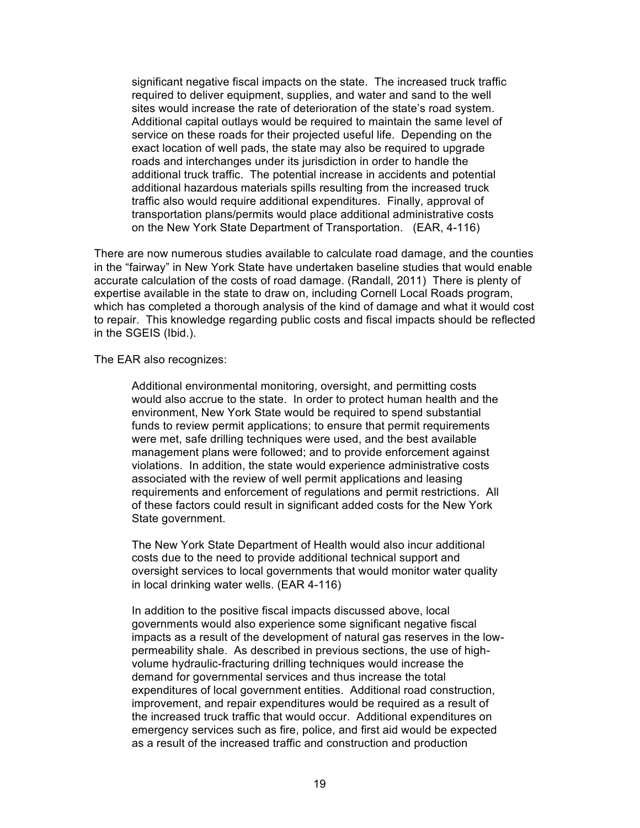significant negative fiscal impacts on the state. The increased truck traffic required to deliver equipment, supplies, and water and sand to the well sites would increase the rate of deterioration of the state's road system. Additional capital outlays would be required to maintain the same level of service on these roads for their projected useful life. Depending on the exact location of well pads, the state may also be required to upgrade roads and interchanges under its jurisdiction in order to handle the additional truck traffic. The potential increase in accidents and potential additional hazardous materials spills resulting from the increased truck traffic also would require additional expenditures. Finally, approval of transportation plans/permits would place additional administrative costs on the New York State Department of Transportation. (EAR, 4-116)

There are now numerous studies available to calculate road damage, and the counties in the "fairway" in New York State have undertaken baseline studies that would enable accurate calculation of the costs of road damage. (Randall, 2011) There is plenty of expertise available in the state to draw on, including Cornell Local Roads program, which has completed a thorough analysis of the kind of damage and what it would cost to repair. This knowledge regarding public costs and fiscal impacts should be reflected in the SGEIS (Ibid.).

The EAR also recognizes:

Additional environmental monitoring, oversight, and permitting costs would also accrue to the state. In order to protect human health and the environment, New York State would be required to spend substantial funds to review permit applications; to ensure that permit requirements were met, safe drilling techniques were used, and the best available management plans were followed; and to provide enforcement against violations. In addition, the state would experience administrative costs associated with the review of well permit applications and leasing requirements and enforcement of regulations and permit restrictions. All of these factors could result in significant added costs for the New York State government.

The New York State Department of Health would also incur additional costs due to the need to provide additional technical support and oversight services to local governments that would monitor water quality in local drinking water wells. (EAR 4-116)

In addition to the positive fiscal impacts discussed above, local governments would also experience some significant negative fiscal impacts as a result of the development of natural gas reserves in the lowpermeability shale. As described in previous sections, the use of highvolume hydraulic-fracturing drilling techniques would increase the demand for governmental services and thus increase the total expenditures of local government entities. Additional road construction, improvement, and repair expenditures would be required as a result of the increased truck traffic that would occur. Additional expenditures on emergency services such as fire, police, and first aid would be expected as a result of the increased traffic and construction and production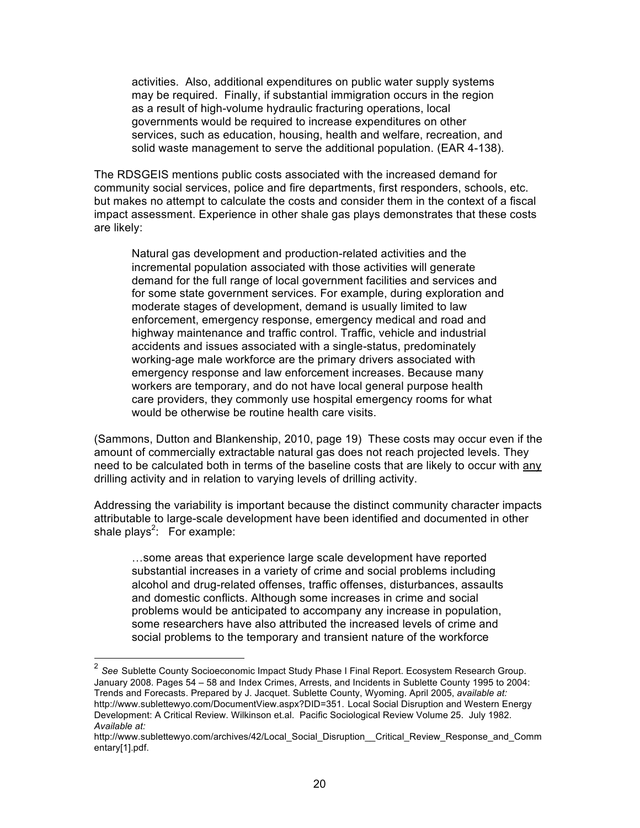activities. Also, additional expenditures on public water supply systems may be required. Finally, if substantial immigration occurs in the region as a result of high-volume hydraulic fracturing operations, local governments would be required to increase expenditures on other services, such as education, housing, health and welfare, recreation, and solid waste management to serve the additional population. (EAR 4-138).

The RDSGEIS mentions public costs associated with the increased demand for community social services, police and fire departments, first responders, schools, etc. but makes no attempt to calculate the costs and consider them in the context of a fiscal impact assessment. Experience in other shale gas plays demonstrates that these costs are likely:

Natural gas development and production-related activities and the incremental population associated with those activities will generate demand for the full range of local government facilities and services and for some state government services. For example, during exploration and moderate stages of development, demand is usually limited to law enforcement, emergency response, emergency medical and road and highway maintenance and traffic control. Traffic, vehicle and industrial accidents and issues associated with a single-status, predominately working-age male workforce are the primary drivers associated with emergency response and law enforcement increases. Because many workers are temporary, and do not have local general purpose health care providers, they commonly use hospital emergency rooms for what would be otherwise be routine health care visits.

(Sammons, Dutton and Blankenship, 2010, page 19) These costs may occur even if the amount of commercially extractable natural gas does not reach projected levels. They need to be calculated both in terms of the baseline costs that are likely to occur with any drilling activity and in relation to varying levels of drilling activity.

Addressing the variability is important because the distinct community character impacts attributable to large-scale development have been identified and documented in other shale plays<sup>2</sup>: For example:

…some areas that experience large scale development have reported substantial increases in a variety of crime and social problems including alcohol and drug-related offenses, traffic offenses, disturbances, assaults and domestic conflicts. Although some increases in crime and social problems would be anticipated to accompany any increase in population, some researchers have also attributed the increased levels of crime and social problems to the temporary and transient nature of the workforce

<sup>&</sup>lt;sup>2</sup> See Sublette County Socioeconomic Impact Study Phase I Final Report. Ecosystem Research Group. January 2008. Pages 54 – 58 and Index Crimes, Arrests, and Incidents in Sublette County 1995 to 2004: Trends and Forecasts. Prepared by J. Jacquet. Sublette County, Wyoming. April 2005, *available at:* http://www.sublettewyo.com/DocumentView.aspx?DID=351. Local Social Disruption and Western Energy Development: A Critical Review. Wilkinson et.al. Pacific Sociological Review Volume 25. July 1982. *Available at:* 

http://www.sublettewyo.com/archives/42/Local\_Social\_Disruption\_\_Critical\_Review\_Response\_and\_Comm entary[1].pdf.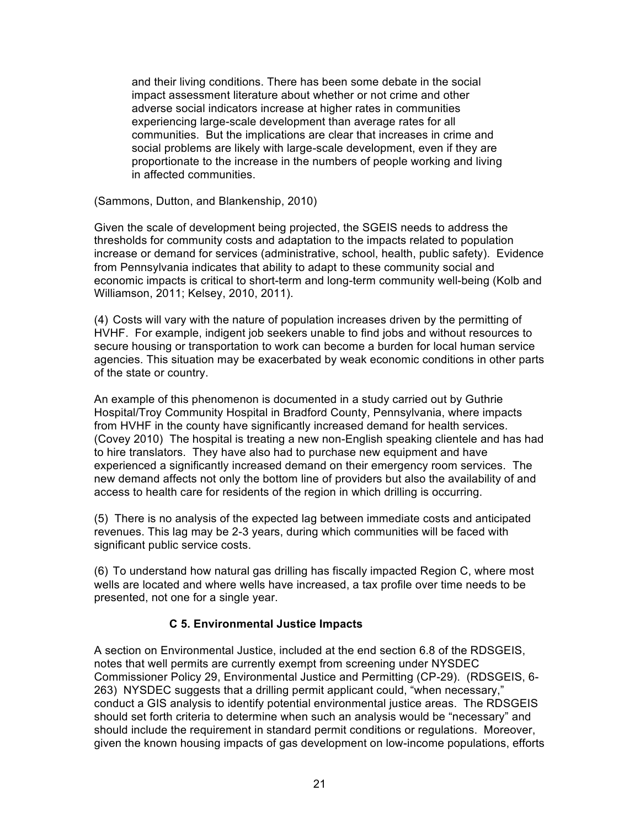and their living conditions. There has been some debate in the social impact assessment literature about whether or not crime and other adverse social indicators increase at higher rates in communities experiencing large-scale development than average rates for all communities. But the implications are clear that increases in crime and social problems are likely with large-scale development, even if they are proportionate to the increase in the numbers of people working and living in affected communities.

(Sammons, Dutton, and Blankenship, 2010)

Given the scale of development being projected, the SGEIS needs to address the thresholds for community costs and adaptation to the impacts related to population increase or demand for services (administrative, school, health, public safety). Evidence from Pennsylvania indicates that ability to adapt to these community social and economic impacts is critical to short-term and long-term community well-being (Kolb and Williamson, 2011; Kelsey, 2010, 2011).

(4) Costs will vary with the nature of population increases driven by the permitting of HVHF. For example, indigent job seekers unable to find jobs and without resources to secure housing or transportation to work can become a burden for local human service agencies. This situation may be exacerbated by weak economic conditions in other parts of the state or country.

An example of this phenomenon is documented in a study carried out by Guthrie Hospital/Troy Community Hospital in Bradford County, Pennsylvania, where impacts from HVHF in the county have significantly increased demand for health services. (Covey 2010) The hospital is treating a new non-English speaking clientele and has had to hire translators. They have also had to purchase new equipment and have experienced a significantly increased demand on their emergency room services. The new demand affects not only the bottom line of providers but also the availability of and access to health care for residents of the region in which drilling is occurring.

(5) There is no analysis of the expected lag between immediate costs and anticipated revenues. This lag may be 2-3 years, during which communities will be faced with significant public service costs.

(6) To understand how natural gas drilling has fiscally impacted Region C, where most wells are located and where wells have increased, a tax profile over time needs to be presented, not one for a single year.

### **C 5. Environmental Justice Impacts**

A section on Environmental Justice, included at the end section 6.8 of the RDSGEIS, notes that well permits are currently exempt from screening under NYSDEC Commissioner Policy 29, Environmental Justice and Permitting (CP-29). (RDSGEIS, 6- 263) NYSDEC suggests that a drilling permit applicant could, "when necessary," conduct a GIS analysis to identify potential environmental justice areas. The RDSGEIS should set forth criteria to determine when such an analysis would be "necessary" and should include the requirement in standard permit conditions or regulations. Moreover, given the known housing impacts of gas development on low-income populations, efforts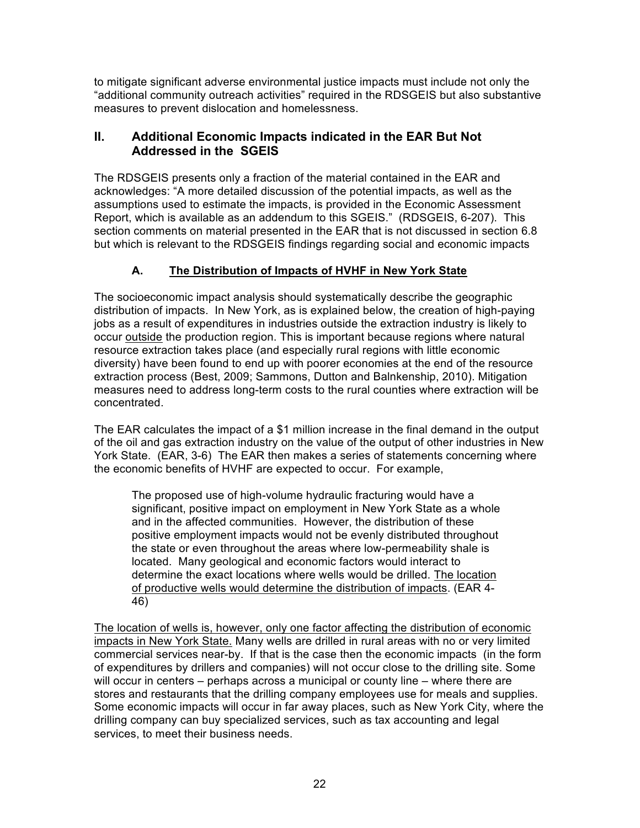to mitigate significant adverse environmental justice impacts must include not only the "additional community outreach activities" required in the RDSGEIS but also substantive measures to prevent dislocation and homelessness.

# **II. Additional Economic Impacts indicated in the EAR But Not Addressed in the SGEIS**

The RDSGEIS presents only a fraction of the material contained in the EAR and acknowledges: "A more detailed discussion of the potential impacts, as well as the assumptions used to estimate the impacts, is provided in the Economic Assessment Report, which is available as an addendum to this SGEIS." (RDSGEIS, 6-207). This section comments on material presented in the EAR that is not discussed in section 6.8 but which is relevant to the RDSGEIS findings regarding social and economic impacts

# **A. The Distribution of Impacts of HVHF in New York State**

The socioeconomic impact analysis should systematically describe the geographic distribution of impacts. In New York, as is explained below, the creation of high-paying jobs as a result of expenditures in industries outside the extraction industry is likely to occur outside the production region. This is important because regions where natural resource extraction takes place (and especially rural regions with little economic diversity) have been found to end up with poorer economies at the end of the resource extraction process (Best, 2009; Sammons, Dutton and Balnkenship, 2010). Mitigation measures need to address long-term costs to the rural counties where extraction will be concentrated.

The EAR calculates the impact of a \$1 million increase in the final demand in the output of the oil and gas extraction industry on the value of the output of other industries in New York State. (EAR, 3-6) The EAR then makes a series of statements concerning where the economic benefits of HVHF are expected to occur. For example,

The proposed use of high-volume hydraulic fracturing would have a significant, positive impact on employment in New York State as a whole and in the affected communities. However, the distribution of these positive employment impacts would not be evenly distributed throughout the state or even throughout the areas where low-permeability shale is located. Many geological and economic factors would interact to determine the exact locations where wells would be drilled. The location of productive wells would determine the distribution of impacts. (EAR 4- 46)

The location of wells is, however, only one factor affecting the distribution of economic impacts in New York State. Many wells are drilled in rural areas with no or very limited commercial services near-by. If that is the case then the economic impacts (in the form of expenditures by drillers and companies) will not occur close to the drilling site. Some will occur in centers – perhaps across a municipal or county line – where there are stores and restaurants that the drilling company employees use for meals and supplies. Some economic impacts will occur in far away places, such as New York City, where the drilling company can buy specialized services, such as tax accounting and legal services, to meet their business needs.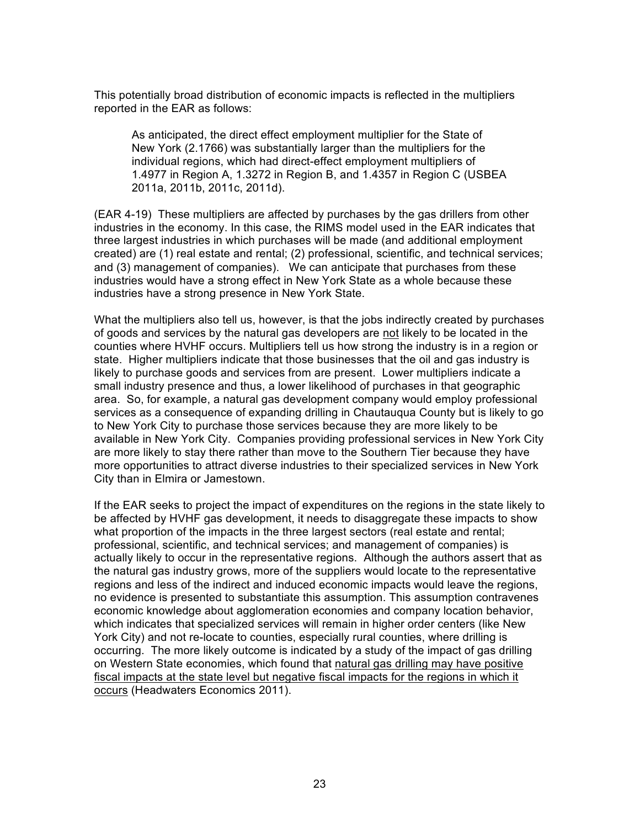This potentially broad distribution of economic impacts is reflected in the multipliers reported in the EAR as follows:

As anticipated, the direct effect employment multiplier for the State of New York (2.1766) was substantially larger than the multipliers for the individual regions, which had direct-effect employment multipliers of 1.4977 in Region A, 1.3272 in Region B, and 1.4357 in Region C (USBEA 2011a, 2011b, 2011c, 2011d).

(EAR 4-19) These multipliers are affected by purchases by the gas drillers from other industries in the economy. In this case, the RIMS model used in the EAR indicates that three largest industries in which purchases will be made (and additional employment created) are (1) real estate and rental; (2) professional, scientific, and technical services; and (3) management of companies). We can anticipate that purchases from these industries would have a strong effect in New York State as a whole because these industries have a strong presence in New York State.

What the multipliers also tell us, however, is that the jobs indirectly created by purchases of goods and services by the natural gas developers are not likely to be located in the counties where HVHF occurs. Multipliers tell us how strong the industry is in a region or state. Higher multipliers indicate that those businesses that the oil and gas industry is likely to purchase goods and services from are present. Lower multipliers indicate a small industry presence and thus, a lower likelihood of purchases in that geographic area. So, for example, a natural gas development company would employ professional services as a consequence of expanding drilling in Chautauqua County but is likely to go to New York City to purchase those services because they are more likely to be available in New York City. Companies providing professional services in New York City are more likely to stay there rather than move to the Southern Tier because they have more opportunities to attract diverse industries to their specialized services in New York City than in Elmira or Jamestown.

If the EAR seeks to project the impact of expenditures on the regions in the state likely to be affected by HVHF gas development, it needs to disaggregate these impacts to show what proportion of the impacts in the three largest sectors (real estate and rental; professional, scientific, and technical services; and management of companies) is actually likely to occur in the representative regions. Although the authors assert that as the natural gas industry grows, more of the suppliers would locate to the representative regions and less of the indirect and induced economic impacts would leave the regions, no evidence is presented to substantiate this assumption. This assumption contravenes economic knowledge about agglomeration economies and company location behavior, which indicates that specialized services will remain in higher order centers (like New York City) and not re-locate to counties, especially rural counties, where drilling is occurring. The more likely outcome is indicated by a study of the impact of gas drilling on Western State economies, which found that natural gas drilling may have positive fiscal impacts at the state level but negative fiscal impacts for the regions in which it occurs (Headwaters Economics 2011).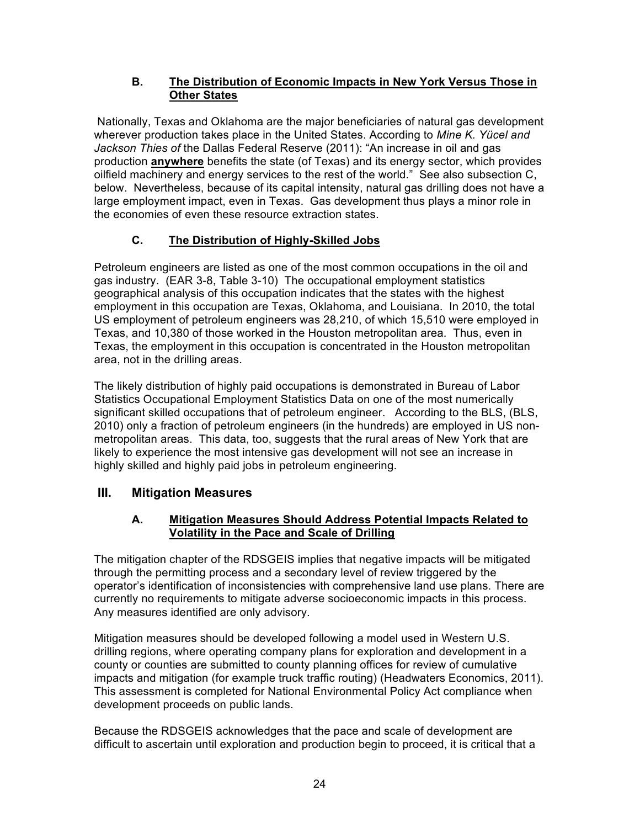## **B. The Distribution of Economic Impacts in New York Versus Those in Other States**

 Nationally, Texas and Oklahoma are the major beneficiaries of natural gas development wherever production takes place in the United States. According to *Mine K. Yücel and Jackson Thies of* the Dallas Federal Reserve (2011): "An increase in oil and gas production **anywhere** benefits the state (of Texas) and its energy sector, which provides oilfield machinery and energy services to the rest of the world." See also subsection C, below. Nevertheless, because of its capital intensity, natural gas drilling does not have a large employment impact, even in Texas. Gas development thus plays a minor role in the economies of even these resource extraction states.

# **C. The Distribution of Highly-Skilled Jobs**

Petroleum engineers are listed as one of the most common occupations in the oil and gas industry. (EAR 3-8, Table 3-10) The occupational employment statistics geographical analysis of this occupation indicates that the states with the highest employment in this occupation are Texas, Oklahoma, and Louisiana. In 2010, the total US employment of petroleum engineers was 28,210, of which 15,510 were employed in Texas, and 10,380 of those worked in the Houston metropolitan area. Thus, even in Texas, the employment in this occupation is concentrated in the Houston metropolitan area, not in the drilling areas.

The likely distribution of highly paid occupations is demonstrated in Bureau of Labor Statistics Occupational Employment Statistics Data on one of the most numerically significant skilled occupations that of petroleum engineer. According to the BLS, (BLS, 2010) only a fraction of petroleum engineers (in the hundreds) are employed in US nonmetropolitan areas. This data, too, suggests that the rural areas of New York that are likely to experience the most intensive gas development will not see an increase in highly skilled and highly paid jobs in petroleum engineering.

# **III. Mitigation Measures**

# **A. Mitigation Measures Should Address Potential Impacts Related to Volatility in the Pace and Scale of Drilling**

The mitigation chapter of the RDSGEIS implies that negative impacts will be mitigated through the permitting process and a secondary level of review triggered by the operator's identification of inconsistencies with comprehensive land use plans. There are currently no requirements to mitigate adverse socioeconomic impacts in this process. Any measures identified are only advisory.

Mitigation measures should be developed following a model used in Western U.S. drilling regions, where operating company plans for exploration and development in a county or counties are submitted to county planning offices for review of cumulative impacts and mitigation (for example truck traffic routing) (Headwaters Economics, 2011). This assessment is completed for National Environmental Policy Act compliance when development proceeds on public lands.

Because the RDSGEIS acknowledges that the pace and scale of development are difficult to ascertain until exploration and production begin to proceed, it is critical that a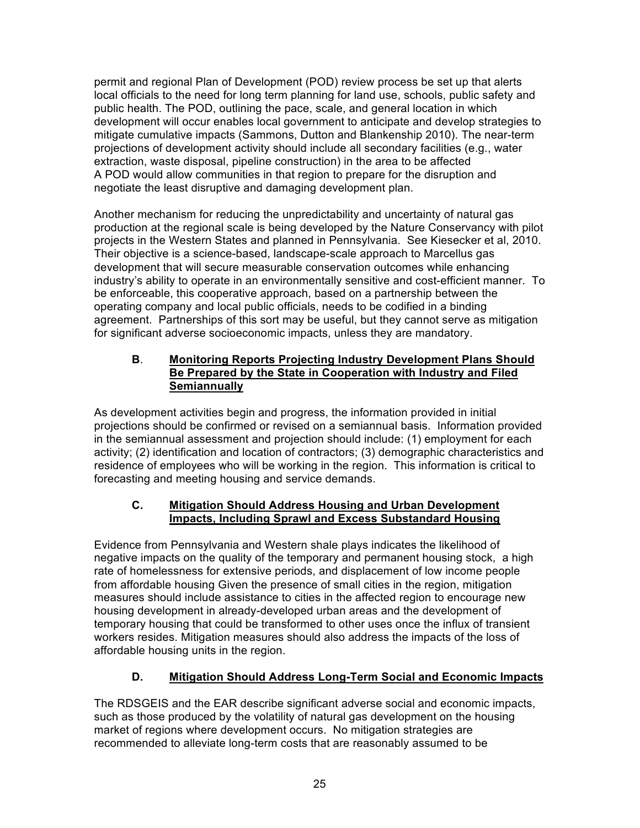permit and regional Plan of Development (POD) review process be set up that alerts local officials to the need for long term planning for land use, schools, public safety and public health. The POD, outlining the pace, scale, and general location in which development will occur enables local government to anticipate and develop strategies to mitigate cumulative impacts (Sammons, Dutton and Blankenship 2010). The near-term projections of development activity should include all secondary facilities (e.g., water extraction, waste disposal, pipeline construction) in the area to be affected A POD would allow communities in that region to prepare for the disruption and negotiate the least disruptive and damaging development plan.

Another mechanism for reducing the unpredictability and uncertainty of natural gas production at the regional scale is being developed by the Nature Conservancy with pilot projects in the Western States and planned in Pennsylvania. See Kiesecker et al, 2010. Their objective is a science-based, landscape-scale approach to Marcellus gas development that will secure measurable conservation outcomes while enhancing industry's ability to operate in an environmentally sensitive and cost-efficient manner. To be enforceable, this cooperative approach, based on a partnership between the operating company and local public officials, needs to be codified in a binding agreement. Partnerships of this sort may be useful, but they cannot serve as mitigation for significant adverse socioeconomic impacts, unless they are mandatory.

### **B**. **Monitoring Reports Projecting Industry Development Plans Should Be Prepared by the State in Cooperation with Industry and Filed Semiannually**

As development activities begin and progress, the information provided in initial projections should be confirmed or revised on a semiannual basis. Information provided in the semiannual assessment and projection should include: (1) employment for each activity; (2) identification and location of contractors; (3) demographic characteristics and residence of employees who will be working in the region. This information is critical to forecasting and meeting housing and service demands.

## **C. Mitigation Should Address Housing and Urban Development Impacts, Including Sprawl and Excess Substandard Housing**

Evidence from Pennsylvania and Western shale plays indicates the likelihood of negative impacts on the quality of the temporary and permanent housing stock, a high rate of homelessness for extensive periods, and displacement of low income people from affordable housing Given the presence of small cities in the region, mitigation measures should include assistance to cities in the affected region to encourage new housing development in already-developed urban areas and the development of temporary housing that could be transformed to other uses once the influx of transient workers resides. Mitigation measures should also address the impacts of the loss of affordable housing units in the region.

# **D. Mitigation Should Address Long-Term Social and Economic Impacts**

The RDSGEIS and the EAR describe significant adverse social and economic impacts, such as those produced by the volatility of natural gas development on the housing market of regions where development occurs. No mitigation strategies are recommended to alleviate long-term costs that are reasonably assumed to be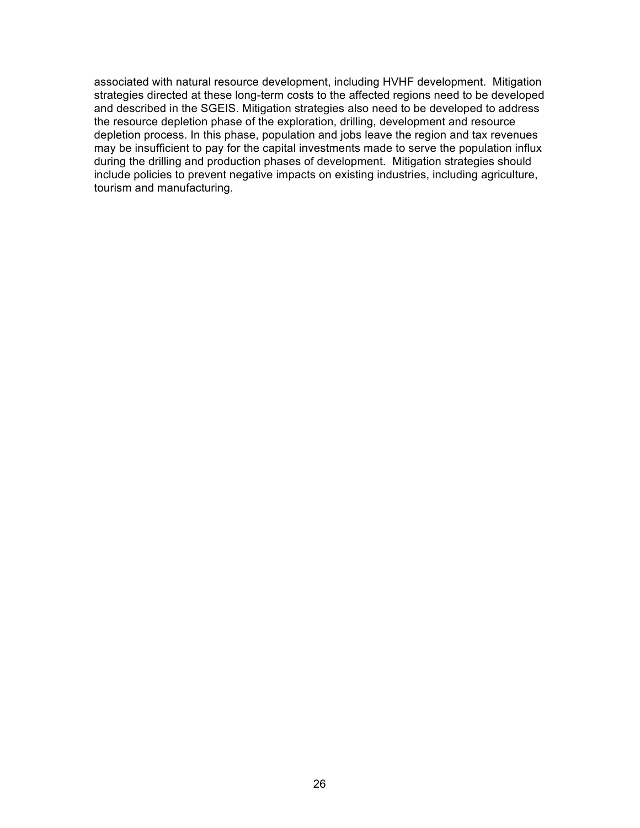associated with natural resource development, including HVHF development. Mitigation strategies directed at these long-term costs to the affected regions need to be developed and described in the SGEIS. Mitigation strategies also need to be developed to address the resource depletion phase of the exploration, drilling, development and resource depletion process. In this phase, population and jobs leave the region and tax revenues may be insufficient to pay for the capital investments made to serve the population influx during the drilling and production phases of development. Mitigation strategies should include policies to prevent negative impacts on existing industries, including agriculture, tourism and manufacturing.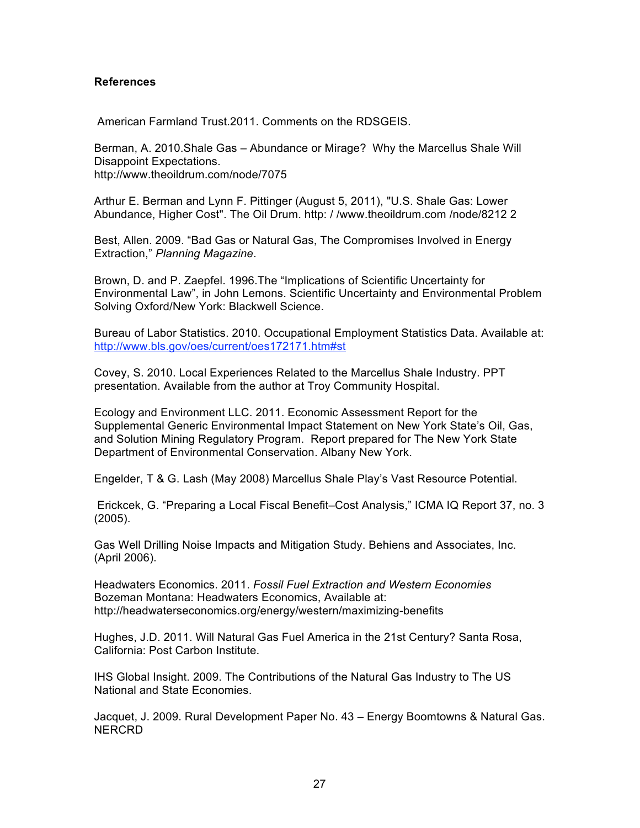#### **References**

American Farmland Trust.2011. Comments on the RDSGEIS.

Berman, A. 2010.Shale Gas – Abundance or Mirage? Why the Marcellus Shale Will Disappoint Expectations. http://www.theoildrum.com/node/7075

Arthur E. Berman and Lynn F. Pittinger (August 5, 2011), "U.S. Shale Gas: Lower Abundance, Higher Cost". The Oil Drum. http: / /www.theoildrum.com /node/8212 2

Best, Allen. 2009. "Bad Gas or Natural Gas, The Compromises Involved in Energy Extraction," *Planning Magazine*.

Brown, D. and P. Zaepfel. 1996.The "Implications of Scientific Uncertainty for Environmental Law", in John Lemons. Scientific Uncertainty and Environmental Problem Solving Oxford/New York: Blackwell Science.

Bureau of Labor Statistics. 2010. Occupational Employment Statistics Data. Available at: http://www.bls.gov/oes/current/oes172171.htm#st

Covey, S. 2010. Local Experiences Related to the Marcellus Shale Industry. PPT presentation. Available from the author at Troy Community Hospital.

Ecology and Environment LLC. 2011. Economic Assessment Report for the Supplemental Generic Environmental Impact Statement on New York State's Oil, Gas, and Solution Mining Regulatory Program. Report prepared for The New York State Department of Environmental Conservation. Albany New York.

Engelder, T & G. Lash (May 2008) Marcellus Shale Play's Vast Resource Potential.

 Erickcek, G. "Preparing a Local Fiscal Benefit–Cost Analysis," ICMA IQ Report 37, no. 3 (2005).

Gas Well Drilling Noise Impacts and Mitigation Study. Behiens and Associates, Inc. (April 2006).

Headwaters Economics. 2011. *Fossil Fuel Extraction and Western Economies* Bozeman Montana: Headwaters Economics, Available at: http://headwaterseconomics.org/energy/western/maximizing-benefits

Hughes, J.D. 2011. Will Natural Gas Fuel America in the 21st Century? Santa Rosa, California: Post Carbon Institute.

IHS Global Insight. 2009. The Contributions of the Natural Gas Industry to The US National and State Economies.

Jacquet, J. 2009. Rural Development Paper No. 43 – Energy Boomtowns & Natural Gas. NERCRD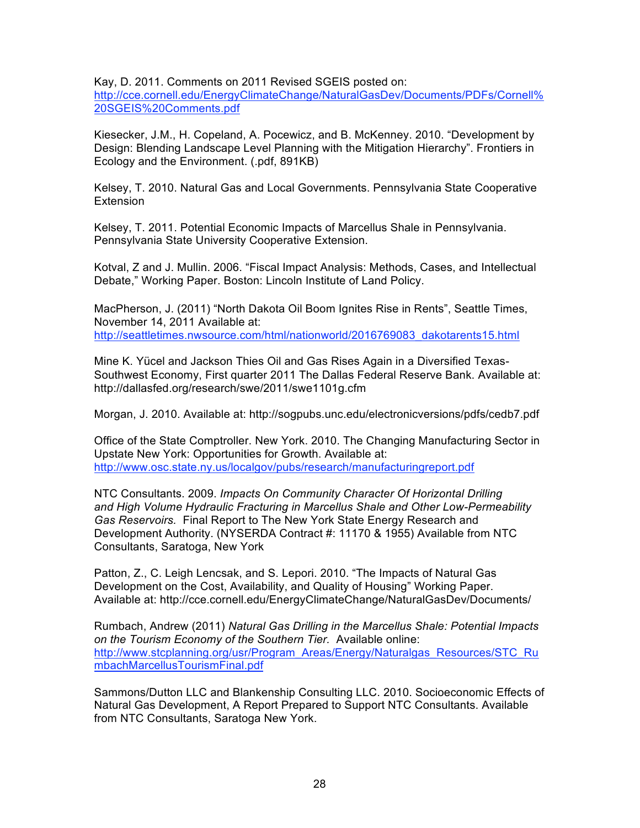Kay, D. 2011. Comments on 2011 Revised SGEIS posted on:

http://cce.cornell.edu/EnergyClimateChange/NaturalGasDev/Documents/PDFs/Cornell% 20SGEIS%20Comments.pdf

Kiesecker, J.M., H. Copeland, A. Pocewicz, and B. McKenney. 2010. "Development by Design: Blending Landscape Level Planning with the Mitigation Hierarchy". Frontiers in Ecology and the Environment. (.pdf, 891KB)

Kelsey, T. 2010. Natural Gas and Local Governments. Pennsylvania State Cooperative **Extension** 

Kelsey, T. 2011. Potential Economic Impacts of Marcellus Shale in Pennsylvania. Pennsylvania State University Cooperative Extension.

Kotval, Z and J. Mullin. 2006. "Fiscal Impact Analysis: Methods, Cases, and Intellectual Debate," Working Paper. Boston: Lincoln Institute of Land Policy.

MacPherson, J. (2011) "North Dakota Oil Boom Ignites Rise in Rents", Seattle Times, November 14, 2011 Available at: http://seattletimes.nwsource.com/html/nationworld/2016769083\_dakotarents15.html

Mine K. Yücel and Jackson Thies Oil and Gas Rises Again in a Diversified Texas-Southwest Economy, First quarter 2011 The Dallas Federal Reserve Bank. Available at: http://dallasfed.org/research/swe/2011/swe1101g.cfm

Morgan, J. 2010. Available at: http://sogpubs.unc.edu/electronicversions/pdfs/cedb7.pdf

Office of the State Comptroller. New York. 2010. The Changing Manufacturing Sector in Upstate New York: Opportunities for Growth. Available at: http://www.osc.state.ny.us/localgov/pubs/research/manufacturingreport.pdf

NTC Consultants. 2009. *Impacts On Community Character Of Horizontal Drilling and High Volume Hydraulic Fracturing in Marcellus Shale and Other Low-Permeability Gas Reservoirs.* Final Report to The New York State Energy Research and Development Authority. (NYSERDA Contract #: 11170 & 1955) Available from NTC Consultants, Saratoga, New York

Patton, Z., C. Leigh Lencsak, and S. Lepori. 2010. "The Impacts of Natural Gas Development on the Cost, Availability, and Quality of Housing" Working Paper. Available at: http://cce.cornell.edu/EnergyClimateChange/NaturalGasDev/Documents/

Rumbach, Andrew (2011) *Natural Gas Drilling in the Marcellus Shale: Potential Impacts on the Tourism Economy of the Southern Tier.* Available online: http://www.stcplanning.org/usr/Program\_Areas/Energy/Naturalgas\_Resources/STC\_Ru mbachMarcellusTourismFinal.pdf

Sammons/Dutton LLC and Blankenship Consulting LLC. 2010. Socioeconomic Effects of Natural Gas Development, A Report Prepared to Support NTC Consultants. Available from NTC Consultants, Saratoga New York.